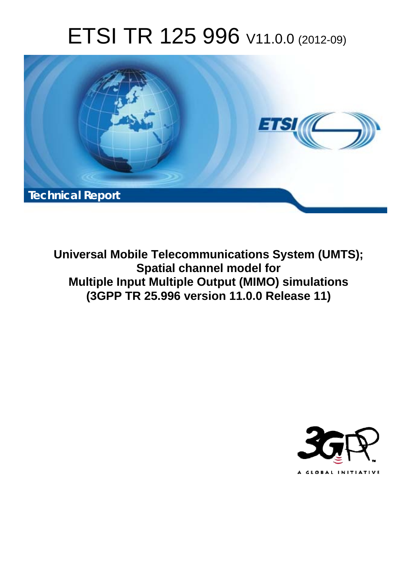# ETSI TR 125 996 V11.0.0 (2012-09)



**Universal Mobile Telecommunications System (UMTS); Spatial channel model for Multiple Input Multiple Output (MIMO) simulations (3GPP TR 25.996 version 11.0.0 Release 11)** 

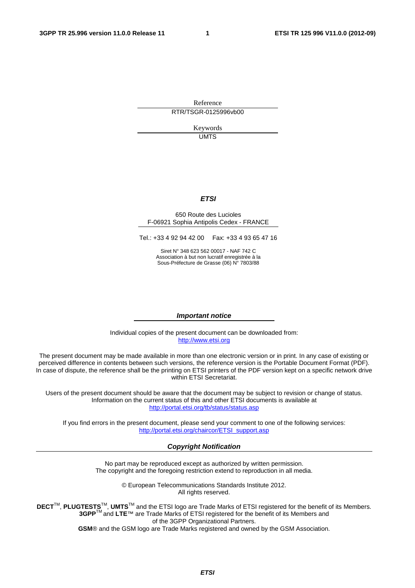Reference RTR/TSGR-0125996vb00

> Keywords UMTS

#### *ETSI*

#### 650 Route des Lucioles F-06921 Sophia Antipolis Cedex - FRANCE

Tel.: +33 4 92 94 42 00 Fax: +33 4 93 65 47 16

Siret N° 348 623 562 00017 - NAF 742 C Association à but non lucratif enregistrée à la Sous-Préfecture de Grasse (06) N° 7803/88

#### *Important notice*

Individual copies of the present document can be downloaded from: [http://www.etsi.org](http://www.etsi.org/)

The present document may be made available in more than one electronic version or in print. In any case of existing or perceived difference in contents between such versions, the reference version is the Portable Document Format (PDF). In case of dispute, the reference shall be the printing on ETSI printers of the PDF version kept on a specific network drive within ETSI Secretariat.

Users of the present document should be aware that the document may be subject to revision or change of status. Information on the current status of this and other ETSI documents is available at <http://portal.etsi.org/tb/status/status.asp>

If you find errors in the present document, please send your comment to one of the following services: [http://portal.etsi.org/chaircor/ETSI\\_support.asp](http://portal.etsi.org/chaircor/ETSI_support.asp)

#### *Copyright Notification*

No part may be reproduced except as authorized by written permission. The copyright and the foregoing restriction extend to reproduction in all media.

> © European Telecommunications Standards Institute 2012. All rights reserved.

DECT<sup>™</sup>, PLUGTESTS<sup>™</sup>, UMTS<sup>™</sup> and the ETSI logo are Trade Marks of ETSI registered for the benefit of its Members. **3GPP**TM and **LTE**™ are Trade Marks of ETSI registered for the benefit of its Members and of the 3GPP Organizational Partners.

**GSM**® and the GSM logo are Trade Marks registered and owned by the GSM Association.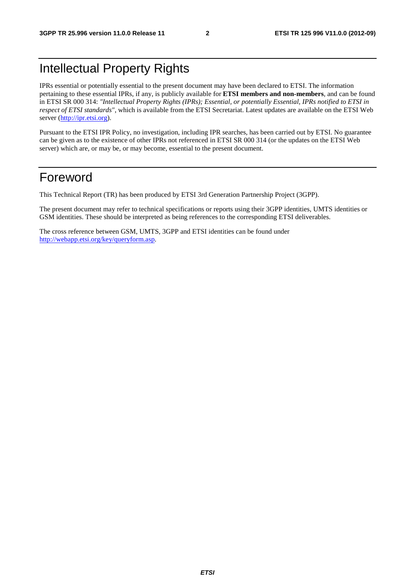# Intellectual Property Rights

IPRs essential or potentially essential to the present document may have been declared to ETSI. The information pertaining to these essential IPRs, if any, is publicly available for **ETSI members and non-members**, and can be found in ETSI SR 000 314: *"Intellectual Property Rights (IPRs); Essential, or potentially Essential, IPRs notified to ETSI in respect of ETSI standards"*, which is available from the ETSI Secretariat. Latest updates are available on the ETSI Web server [\(http://ipr.etsi.org](http://webapp.etsi.org/IPR/home.asp)).

Pursuant to the ETSI IPR Policy, no investigation, including IPR searches, has been carried out by ETSI. No guarantee can be given as to the existence of other IPRs not referenced in ETSI SR 000 314 (or the updates on the ETSI Web server) which are, or may be, or may become, essential to the present document.

# Foreword

This Technical Report (TR) has been produced by ETSI 3rd Generation Partnership Project (3GPP).

The present document may refer to technical specifications or reports using their 3GPP identities, UMTS identities or GSM identities. These should be interpreted as being references to the corresponding ETSI deliverables.

The cross reference between GSM, UMTS, 3GPP and ETSI identities can be found under <http://webapp.etsi.org/key/queryform.asp>.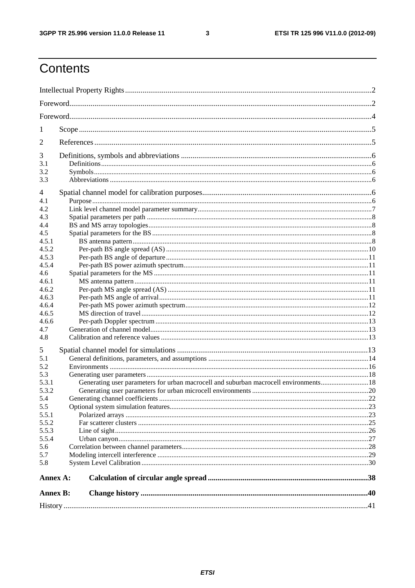$\mathbf{3}$ 

# Contents

| 1               |                                                                                       |  |  |  |  |  |
|-----------------|---------------------------------------------------------------------------------------|--|--|--|--|--|
| 2               |                                                                                       |  |  |  |  |  |
| 3               |                                                                                       |  |  |  |  |  |
| 3.1             |                                                                                       |  |  |  |  |  |
| 3.2             |                                                                                       |  |  |  |  |  |
| 3.3             |                                                                                       |  |  |  |  |  |
| 4               |                                                                                       |  |  |  |  |  |
| 4.1             |                                                                                       |  |  |  |  |  |
| 4.2             |                                                                                       |  |  |  |  |  |
| 4.3             |                                                                                       |  |  |  |  |  |
| 4.4             |                                                                                       |  |  |  |  |  |
| 4.5             |                                                                                       |  |  |  |  |  |
| 4.5.1           |                                                                                       |  |  |  |  |  |
| 4.5.2           |                                                                                       |  |  |  |  |  |
| 4.5.3           |                                                                                       |  |  |  |  |  |
| 4.5.4           |                                                                                       |  |  |  |  |  |
| 4.6             |                                                                                       |  |  |  |  |  |
| 4.6.1           |                                                                                       |  |  |  |  |  |
| 4.6.2           |                                                                                       |  |  |  |  |  |
| 4.6.3           |                                                                                       |  |  |  |  |  |
| 4.6.4           |                                                                                       |  |  |  |  |  |
| 4.6.5           |                                                                                       |  |  |  |  |  |
| 4.6.6           |                                                                                       |  |  |  |  |  |
| 4.7             |                                                                                       |  |  |  |  |  |
| 4.8             |                                                                                       |  |  |  |  |  |
| 5               |                                                                                       |  |  |  |  |  |
| 5.1             |                                                                                       |  |  |  |  |  |
| 5.2             |                                                                                       |  |  |  |  |  |
| 5.3             |                                                                                       |  |  |  |  |  |
| 5.3.1           | Generating user parameters for urban macrocell and suburban macrocell environments 18 |  |  |  |  |  |
| 5.3.2           |                                                                                       |  |  |  |  |  |
| 5.4             |                                                                                       |  |  |  |  |  |
| 5.5             |                                                                                       |  |  |  |  |  |
| 5.5.1           |                                                                                       |  |  |  |  |  |
| 5.5.2           |                                                                                       |  |  |  |  |  |
| 5.5.3           |                                                                                       |  |  |  |  |  |
| 5.5.4           |                                                                                       |  |  |  |  |  |
| 5.6             |                                                                                       |  |  |  |  |  |
| 5.7             |                                                                                       |  |  |  |  |  |
| 5.8             |                                                                                       |  |  |  |  |  |
| Annex A:        |                                                                                       |  |  |  |  |  |
| <b>Annex B:</b> |                                                                                       |  |  |  |  |  |
|                 |                                                                                       |  |  |  |  |  |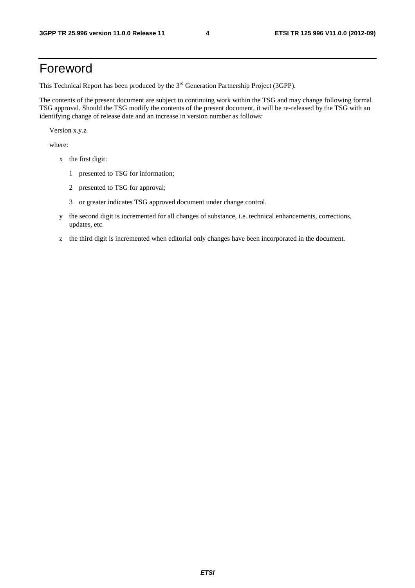# Foreword

This Technical Report has been produced by the  $3<sup>rd</sup>$  Generation Partnership Project (3GPP).

The contents of the present document are subject to continuing work within the TSG and may change following formal TSG approval. Should the TSG modify the contents of the present document, it will be re-released by the TSG with an identifying change of release date and an increase in version number as follows:

Version x.y.z

where:

- x the first digit:
	- 1 presented to TSG for information;
	- 2 presented to TSG for approval;
	- 3 or greater indicates TSG approved document under change control.
- y the second digit is incremented for all changes of substance, i.e. technical enhancements, corrections, updates, etc.
- z the third digit is incremented when editorial only changes have been incorporated in the document.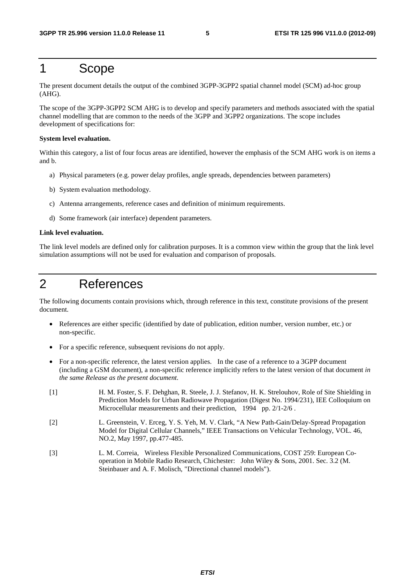# 1 Scope

The present document details the output of the combined 3GPP-3GPP2 spatial channel model (SCM) ad-hoc group (AHG).

The scope of the 3GPP-3GPP2 SCM AHG is to develop and specify parameters and methods associated with the spatial channel modelling that are common to the needs of the 3GPP and 3GPP2 organizations. The scope includes development of specifications for:

#### **System level evaluation.**

Within this category, a list of four focus areas are identified, however the emphasis of the SCM AHG work is on items a and b.

- a) Physical parameters (e.g. power delay profiles, angle spreads, dependencies between parameters)
- b) System evaluation methodology.
- c) Antenna arrangements, reference cases and definition of minimum requirements.
- d) Some framework (air interface) dependent parameters.

#### **Link level evaluation.**

The link level models are defined only for calibration purposes. It is a common view within the group that the link level simulation assumptions will not be used for evaluation and comparison of proposals.

# 2 References

The following documents contain provisions which, through reference in this text, constitute provisions of the present document.

- References are either specific (identified by date of publication, edition number, version number, etc.) or non-specific.
- For a specific reference, subsequent revisions do not apply.
- For a non-specific reference, the latest version applies. In the case of a reference to a 3GPP document (including a GSM document), a non-specific reference implicitly refers to the latest version of that document *in the same Release as the present document*.
- [1] H. M. Foster, S. F. Dehghan, R. Steele, J. J. Stefanov, H. K. Strelouhov, Role of Site Shielding in Prediction Models for Urban Radiowave Propagation (Digest No. 1994/231), IEE Colloquium on Microcellular measurements and their prediction, 1994 pp. 2/1-2/6 .
- [2] L. Greenstein, V. Erceg, Y. S. Yeh, M. V. Clark, "A New Path-Gain/Delay-Spread Propagation Model for Digital Cellular Channels," IEEE Transactions on Vehicular Technology, VOL. 46, NO.2, May 1997, pp.477-485.
- [3] L. M. Correia, Wireless Flexible Personalized Communications, COST 259: European Cooperation in Mobile Radio Research, Chichester: John Wiley & Sons, 2001. Sec. 3.2 (M. Steinbauer and A. F. Molisch, "Directional channel models").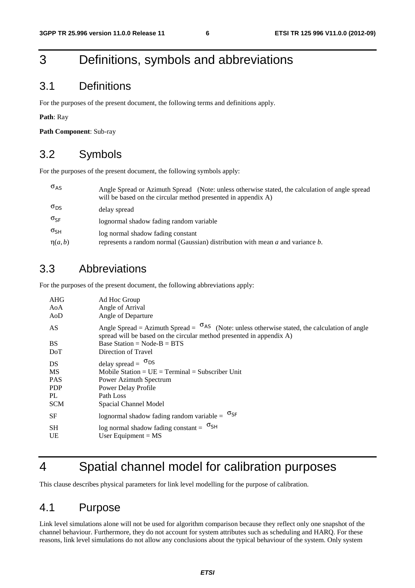# 3 Definitions, symbols and abbreviations

#### 3.1 Definitions

For the purposes of the present document, the following terms and definitions apply.

**Path**: Ray

**Path Component**: Sub-ray

#### 3.2 Symbols

For the purposes of the present document, the following symbols apply:

| $\sigma_{AS}$ | Angle Spread or Azimuth Spread (Note: unless otherwise stated, the calculation of angle spread<br>will be based on the circular method presented in appendix A) |
|---------------|-----------------------------------------------------------------------------------------------------------------------------------------------------------------|
| $\sigma_{DS}$ | delay spread                                                                                                                                                    |
| $\sigma_{SF}$ | lognormal shadow fading random variable                                                                                                                         |
| $\sigma_{SH}$ | log normal shadow fading constant                                                                                                                               |
| $\eta(a,b)$   | represents a random normal (Gaussian) distribution with mean $a$ and variance $b$ .                                                                             |

## 3.3 Abbreviations

For the purposes of the present document, the following abbreviations apply:

| AHG<br>AoA<br>AoD                                                 | Ad Hoc Group<br>Angle of Arrival<br>Angle of Departure                                                                                                                                  |
|-------------------------------------------------------------------|-----------------------------------------------------------------------------------------------------------------------------------------------------------------------------------------|
| AS                                                                | Angle Spread = Azimuth Spread = $\sigma$ <sup>AS</sup> (Note: unless otherwise stated, the calculation of angle<br>spread will be based on the circular method presented in appendix A) |
| <b>BS</b>                                                         | Base Station = $Node-B = BTS$                                                                                                                                                           |
| DoT                                                               | Direction of Travel                                                                                                                                                                     |
| DS.<br><b>MS</b><br><b>PAS</b><br><b>PDP</b><br>PL.<br><b>SCM</b> | delay spread = $\sigma_{DS}$<br>Mobile Station = $UE = Terminal = Subscripter Unit$<br>Power Azimuth Spectrum<br>Power Delay Profile<br>Path Loss<br>Spacial Channel Model              |
| <b>SF</b>                                                         | lognormal shadow fading random variable = $\sigma_{SF}$                                                                                                                                 |
| <b>SH</b><br>UE                                                   | log normal shadow fading constant = $\sigma_{SH}$<br>User Equipment = $MS$                                                                                                              |

# 4 Spatial channel model for calibration purposes

This clause describes physical parameters for link level modelling for the purpose of calibration.

## 4.1 Purpose

Link level simulations alone will not be used for algorithm comparison because they reflect only one snapshot of the channel behaviour. Furthermore, they do not account for system attributes such as scheduling and HARQ. For these reasons, link level simulations do not allow any conclusions about the typical behaviour of the system. Only system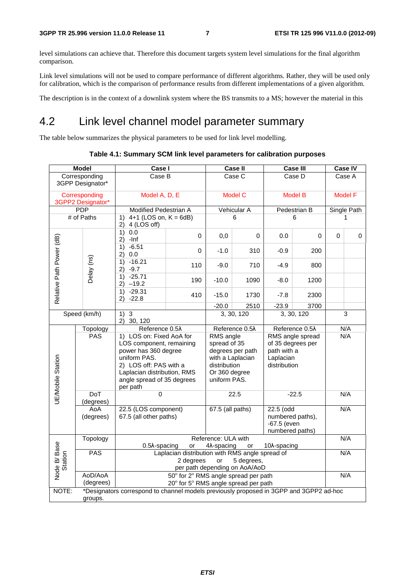level simulations can achieve that. Therefore this document targets system level simulations for the final algorithm comparison.

Link level simulations will not be used to compare performance of different algorithms. Rather, they will be used only for calibration, which is the comparison of performance results from different implementations of a given algorithm.

The description is in the context of a downlink system where the BS transmits to a MS; however the material in this

# 4.2 Link level channel model parameter summary

The table below summarizes the physical parameters to be used for link level modelling.

**Table 4.1: Summary SCM link level parameters for calibration purposes** 

| <b>Model</b>                       |                      | Case I                                                                                                                                                                                          |          |                                                                                                | Case II          |                                               | <b>Case III</b>                       |          | <b>Case IV</b> |
|------------------------------------|----------------------|-------------------------------------------------------------------------------------------------------------------------------------------------------------------------------------------------|----------|------------------------------------------------------------------------------------------------|------------------|-----------------------------------------------|---------------------------------------|----------|----------------|
| Corresponding<br>3GPP Designator*  |                      | Case B<br>Case C                                                                                                                                                                                |          |                                                                                                | Case D           |                                               | Case A                                |          |                |
| Corresponding<br>3GPP2 Designator* |                      | Model A, D, E                                                                                                                                                                                   |          | <b>Model C</b>                                                                                 |                  | <b>Model B</b>                                |                                       |          | Model F        |
|                                    | <b>PDP</b>           | Modified Pedestrian A                                                                                                                                                                           |          |                                                                                                | Vehicular A      |                                               | Pedestrian B                          |          | Single Path    |
|                                    | # of Paths           | 1)<br>4+1 (LOS on, $K = 6dB$ )<br>2)<br>4 (LOS off)                                                                                                                                             |          | 6                                                                                              |                  | 6                                             |                                       |          | 1              |
|                                    |                      | 1)<br>0.0<br>-Inf<br>2)                                                                                                                                                                         | $\Omega$ | 0,0                                                                                            | $\Omega$         | 0.0                                           | 0                                     | $\Omega$ | 0              |
| Relative Path Power (dB)           |                      | $-6.51$<br>1)<br>0.0<br>2)                                                                                                                                                                      | $\Omega$ | $-1.0$                                                                                         | 310              | $-0.9$                                        | 200                                   |          |                |
|                                    | Delay (ns)           | $-16.21$<br>1)<br>$-9.7$<br>2)                                                                                                                                                                  | 110      | $-9.0$                                                                                         | 710              | $-4.9$                                        | 800                                   |          |                |
|                                    |                      | $-25.71$<br>1)<br>2)<br>$-19.2$                                                                                                                                                                 | 190      | $-10.0$                                                                                        | 1090             | $-8.0$                                        | 1200                                  |          |                |
|                                    |                      | $-29.31$<br>1)<br>$-22.8$<br>2)                                                                                                                                                                 | 410      | $-15.0$                                                                                        | 1730             | $-7.8$                                        | 2300                                  |          |                |
|                                    |                      |                                                                                                                                                                                                 |          | $-20.0$                                                                                        | 2510             | $-23.9$                                       | 3700                                  |          |                |
| Speed (km/h)                       |                      | $\overline{3}$<br>1)<br>2) 30, 120                                                                                                                                                              |          |                                                                                                | 3, 30, 120       |                                               | 3, 30, 120                            |          | $\overline{3}$ |
|                                    | Topology             | Reference 0.5X                                                                                                                                                                                  |          |                                                                                                | Reference 0.5X   |                                               | Reference 0.5X                        |          | N/A            |
| <b>UE/Mobile Station</b>           | <b>PAS</b>           | 1) LOS on: Fixed AoA for<br>LOS component, remaining<br>power has 360 degree<br>uniform PAS.<br>2) LOS off: PAS with a<br>Laplacian distribution, RMS<br>angle spread of 35 degrees<br>per path |          | RMS angle<br>spread of 35<br>with a Laplacian<br>distribution<br>Or 360 degree<br>uniform PAS. | degrees per path | path with a<br>Laplacian<br>distribution      | RMS angle spread<br>of 35 degrees per |          | N/A            |
|                                    | DoT<br>(degrees)     | $\mathbf 0$                                                                                                                                                                                     |          |                                                                                                | 22.5             | $-22.5$                                       |                                       |          | N/A            |
|                                    | AoA<br>(degrees)     | 22.5 (LOS component)<br>67.5 (all other paths)                                                                                                                                                  |          | 67.5 (all paths)                                                                               |                  | 22.5 (odd<br>$-67.5$ (even<br>numbered paths) | numbered paths),                      |          | N/A            |
|                                    | Topology             | Reference: ULA with<br>N/A<br>$0.5\lambda$ -spacing<br>4 $\lambda$ -spacing<br>10 <sub>λ</sub> -spacing<br>or<br>or                                                                             |          |                                                                                                |                  |                                               |                                       |          |                |
| Node B/ Base<br>Station            | <b>PAS</b>           | Laplacian distribution with RMS angle spread of<br>2 degrees<br>5 degrees,<br>or<br>per path depending on AoA/AoD                                                                               |          |                                                                                                |                  |                                               | N/A                                   |          |                |
|                                    | AoD/AoA<br>(degrees) | 50° for 2° RMS angle spread per path<br>20° for 5° RMS angle spread per path                                                                                                                    |          |                                                                                                |                  |                                               |                                       | N/A      |                |
| NOTE:                              | groups.              | *Designators correspond to channel models previously proposed in 3GPP and 3GPP2 ad-hoc                                                                                                          |          |                                                                                                |                  |                                               |                                       |          |                |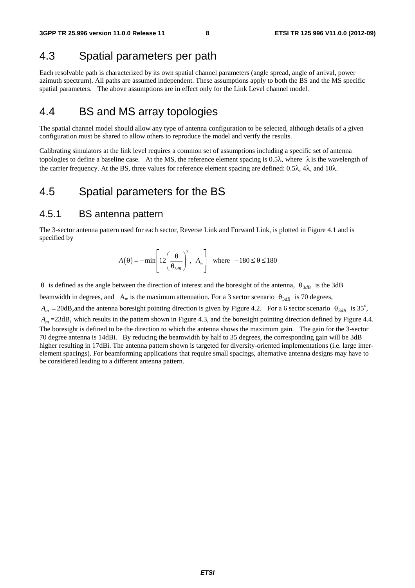## 4.3 Spatial parameters per path

Each resolvable path is characterized by its own spatial channel parameters (angle spread, angle of arrival, power azimuth spectrum). All paths are assumed independent. These assumptions apply to both the BS and the MS specific spatial parameters. The above assumptions are in effect only for the Link Level channel model.

## 4.4 BS and MS array topologies

The spatial channel model should allow any type of antenna configuration to be selected, although details of a given configuration must be shared to allow others to reproduce the model and verify the results.

Calibrating simulators at the link level requires a common set of assumptions including a specific set of antenna topologies to define a baseline case. At the MS, the reference element spacing is 0.5λ, where  $\lambda$  is the wavelength of the carrier frequency. At the BS, three values for reference element spacing are defined: 0.5λ, 4λ, and 10λ.

#### 4.5 Spatial parameters for the BS

#### 4.5.1 BS antenna pattern

The 3-sector antenna pattern used for each sector, Reverse Link and Forward Link, is plotted in Figure 4.1 and is specified by

$$
A(\theta) = -\min\left[12\left(\frac{\theta}{\theta_{3dB}}\right)^2, A_m\right] \text{ where } -180 \le \theta \le 180
$$

θ is defined as the angle between the direction of interest and the boresight of the antenna, θ3*dB* is the 3dB

beamwidth in degrees, and A<sub>m</sub> is the maximum attenuation. For a 3 sector scenario  $\theta_{3}$  is 70 degrees,

 $A_m$  = 20dB, and the antenna boresight pointing direction is given by Figure 4.2. For a 6 sector scenario  $\theta_{3dB}$  is 35°,

*A<sub>m</sub>* = 23dB, which results in the pattern shown in Figure 4.3, and the boresight pointing direction defined by Figure 4.4. The boresight is defined to be the direction to which the antenna shows the maximum gain. The gain for the 3-sector 70 degree antenna is 14dBi. By reducing the beamwidth by half to 35 degrees, the corresponding gain will be 3dB higher resulting in 17dBi. The antenna pattern shown is targeted for diversity-oriented implementations (i.e. large interelement spacings). For beamforming applications that require small spacings, alternative antenna designs may have to be considered leading to a different antenna pattern.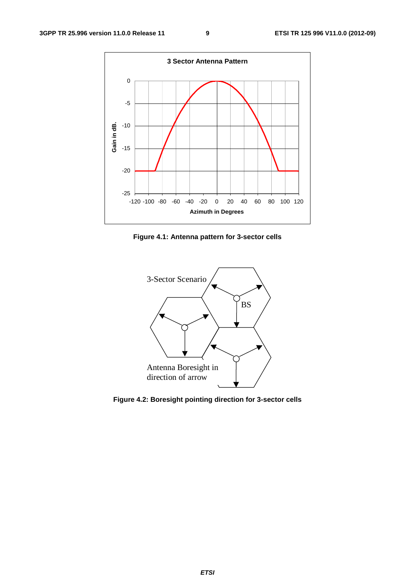

**Figure 4.1: Antenna pattern for 3-sector cells** 



**Figure 4.2: Boresight pointing direction for 3-sector cells**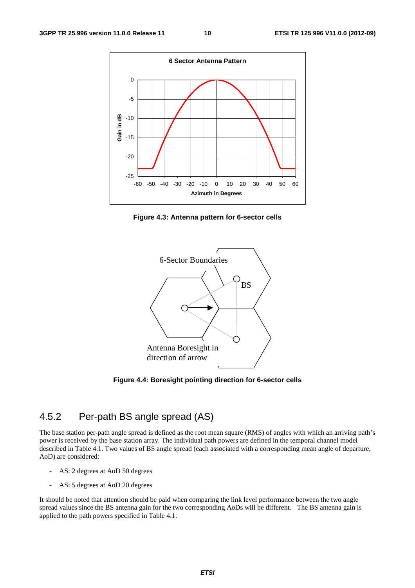

**Figure 4.3: Antenna pattern for 6-sector cells** 



**Figure 4.4: Boresight pointing direction for 6-sector cells** 

#### 4.5.2 Per-path BS angle spread (AS)

The base station per-path angle spread is defined as the root mean square (RMS) of angles with which an arriving path's power is received by the base station array. The individual path powers are defined in the temporal channel model described in Table 4.1. Two values of BS angle spread (each associated with a corresponding mean angle of departure, AoD) are considered:

- AS: 2 degrees at AoD 50 degrees
- AS: 5 degrees at AoD 20 degrees

It should be noted that attention should be paid when comparing the link level performance between the two angle spread values since the BS antenna gain for the two corresponding AoDs will be different. The BS antenna gain is applied to the path powers specified in Table 4.1.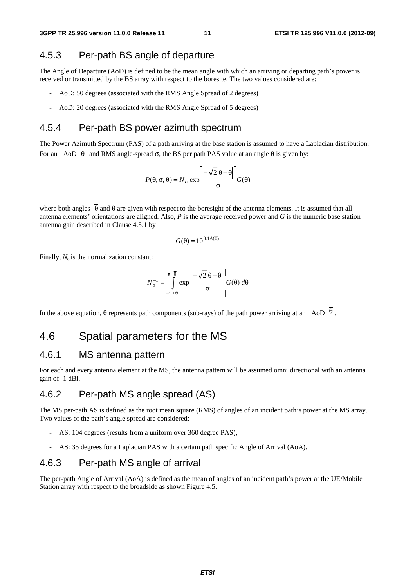#### 4.5.3 Per-path BS angle of departure

The Angle of Departure (AoD) is defined to be the mean angle with which an arriving or departing path's power is received or transmitted by the BS array with respect to the boresite. The two values considered are:

- AoD: 50 degrees (associated with the RMS Angle Spread of 2 degrees)
- AoD: 20 degrees (associated with the RMS Angle Spread of 5 degrees)

#### 4.5.4 Per-path BS power azimuth spectrum

The Power Azimuth Spectrum (PAS) of a path arriving at the base station is assumed to have a Laplacian distribution. For an AoD  $\overline{\theta}$  and RMS angle-spread σ, the BS per path PAS value at an angle θ is given by:

$$
P(\theta, \sigma, \overline{\theta}) = N_o \exp\left[\frac{-\sqrt{2}|\theta - \overline{\theta}|}{\sigma}\right] G(\theta)
$$

where both angles  $\overline{\theta}$  and  $\theta$  are given with respect to the boresight of the antenna elements. It is assumed that all antenna elements' orientations are aligned. Also, *P* is the average received power and *G* is the numeric base station antenna gain described in Clause 4.5.1 by

$$
G(\theta) = 10^{0.1A(\theta)}
$$

Finally,  $N_0$  is the normalization constant:

$$
N_o^{-1} = \int_{-\pi + \overline{\theta}}^{\pi + \overline{\theta}} \exp\left[\frac{-\sqrt{2}|\theta - \overline{\theta}|}{\sigma}\right] G(\theta) d\theta
$$

In the above equation, θ represents path components (sub-rays) of the path power arriving at an AoD  $\theta$ .

#### 4.6 Spatial parameters for the MS

#### 4.6.1 MS antenna pattern

For each and every antenna element at the MS, the antenna pattern will be assumed omni directional with an antenna gain of -1 dBi.

#### 4.6.2 Per-path MS angle spread (AS)

The MS per-path AS is defined as the root mean square (RMS) of angles of an incident path's power at the MS array. Two values of the path's angle spread are considered:

- AS: 104 degrees (results from a uniform over 360 degree PAS),
- AS: 35 degrees for a Laplacian PAS with a certain path specific Angle of Arrival (AoA).

#### 4.6.3 Per-path MS angle of arrival

The per-path Angle of Arrival (AoA) is defined as the mean of angles of an incident path's power at the UE/Mobile Station array with respect to the broadside as shown Figure 4.5.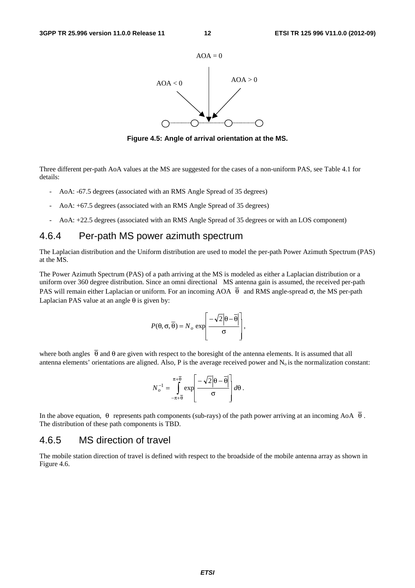

**Figure 4.5: Angle of arrival orientation at the MS.** 

Three different per-path AoA values at the MS are suggested for the cases of a non-uniform PAS, see Table 4.1 for details:

- AoA: -67.5 degrees (associated with an RMS Angle Spread of 35 degrees)
- AoA: +67.5 degrees (associated with an RMS Angle Spread of 35 degrees)
- AoA: +22.5 degrees (associated with an RMS Angle Spread of 35 degrees or with an LOS component)

#### 4.6.4 Per-path MS power azimuth spectrum

The Laplacian distribution and the Uniform distribution are used to model the per-path Power Azimuth Spectrum (PAS) at the MS.

The Power Azimuth Spectrum (PAS) of a path arriving at the MS is modeled as either a Laplacian distribution or a uniform over 360 degree distribution. Since an omni directional MS antenna gain is assumed, the received per-path PAS will remain either Laplacian or uniform. For an incoming AOA  $\overline{\theta}$  and RMS angle-spread  $\sigma$ , the MS per-path Laplacian PAS value at an angle  $\theta$  is given by:

$$
P(\theta, \sigma, \overline{\theta}) = N_o \exp \left[ \frac{-\sqrt{2} |\theta - \overline{\theta}|}{\sigma} \right],
$$

where both angles  $\overline{\theta}$  and  $\theta$  are given with respect to the boresight of the antenna elements. It is assumed that all antenna elements' orientations are aligned. Also, P is the average received power and  $N_0$  is the normalization constant:

$$
N_o^{-1} = \int_{-\pi+\overline{\theta}}^{\pi+\overline{\theta}} \exp\left[\frac{-\sqrt{2}|\theta-\overline{\theta}|}{\sigma}\right] d\theta.
$$

In the above equation,  $\theta$  represents path components (sub-rays) of the path power arriving at an incoming AoA  $\overline{\theta}$ . The distribution of these path components is TBD.

#### 4.6.5 MS direction of travel

The mobile station direction of travel is defined with respect to the broadside of the mobile antenna array as shown in Figure 4.6.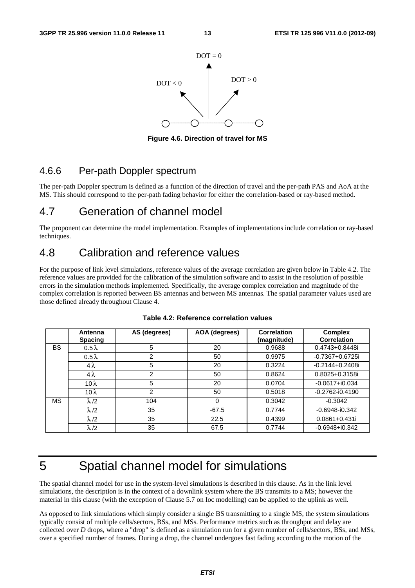

**Figure 4.6. Direction of travel for MS** 

#### 4.6.6 Per-path Doppler spectrum

The per-path Doppler spectrum is defined as a function of the direction of travel and the per-path PAS and AoA at the MS. This should correspond to the per-path fading behavior for either the correlation-based or ray-based method.

## 4.7 Generation of channel model

The proponent can determine the model implementation. Examples of implementations include correlation or ray-based techniques.

## 4.8 Calibration and reference values

For the purpose of link level simulations, reference values of the average correlation are given below in Table 4.2. The reference values are provided for the calibration of the simulation software and to assist in the resolution of possible errors in the simulation methods implemented. Specifically, the average complex correlation and magnitude of the complex correlation is reported between BS antennas and between MS antennas. The spatial parameter values used are those defined already throughout Clause 4.

|    | Antenna<br><b>Spacing</b> | AS (degrees)   | AOA (degrees) | <b>Correlation</b><br>(magnitude) | <b>Complex</b><br><b>Correlation</b> |
|----|---------------------------|----------------|---------------|-----------------------------------|--------------------------------------|
| BS | $0.5\lambda$              | 5              | 20            | 0.9688                            | 0.4743+0.8448i                       |
|    | $0.5\lambda$              | 2              | 50            | 0.9975                            | $-0.7367 + 0.6725i$                  |
|    | $4\lambda$                | 5              | 20            | 0.3224                            | $-0.2144 + 0.2408$ i                 |
|    | $4\lambda$                | $\overline{2}$ | 50            | 0.8624                            | 0.8025+0.3158i                       |
|    | 10 $\lambda$              | 5              | 20            | 0.0704                            | $-0.0617 + i0.034$                   |
|    | 10 $\lambda$              | 2              | 50            | 0.5018                            | $-0.2762 - i0.4190$                  |
| ΜS | $\lambda/2$               | 104            | 0             | 0.3042                            | $-0.3042$                            |
|    | $\lambda$ /2              | 35             | $-67.5$       | 0.7744                            | $-0.6948 - i0.342$                   |
|    | $\lambda/2$               | 35             | 22.5          | 0.4399                            | $0.0861 + 0.431i$                    |
|    | $\lambda$ /2              | 35             | 67.5          | 0.7744                            | $-0.6948 + 0.342$                    |

| Table 4.2: Reference correlation values |  |
|-----------------------------------------|--|
|-----------------------------------------|--|

# 5 Spatial channel model for simulations

The spatial channel model for use in the system-level simulations is described in this clause. As in the link level simulations, the description is in the context of a downlink system where the BS transmits to a MS; however the material in this clause (with the exception of Clause 5.7 on Ioc modelling) can be applied to the uplink as well.

As opposed to link simulations which simply consider a single BS transmitting to a single MS, the system simulations typically consist of multiple cells/sectors, BSs, and MSs. Performance metrics such as throughput and delay are collected over *D* drops, where a "drop" is defined as a simulation run for a given number of cells/sectors, BSs, and MSs, over a specified number of frames. During a drop, the channel undergoes fast fading according to the motion of the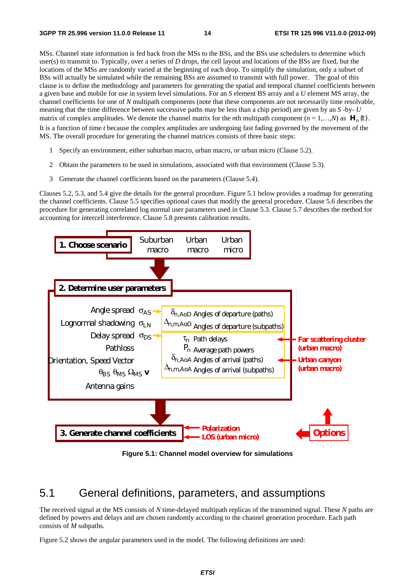MSs. Channel state information is fed back from the MSs to the BSs, and the BSs use schedulers to determine which user(s) to transmit to. Typically, over a series of *D* drops, the cell layout and locations of the BSs are fixed, but the locations of the MSs are randomly varied at the beginning of each drop. To simplify the simulation, only a subset of BSs will actually be simulated while the remaining BSs are assumed to transmit with full power. The goal of this clause is to define the methodology and parameters for generating the spatial and temporal channel coefficients between a given base and mobile for use in system level simulations. For an *S* element BS array and a *U* element MS array, the channel coefficients for one of *N* multipath components (note that these components are not necessarily time resolvable, meaning that the time difference between successive paths may be less than a chip period) are given by an *S* -by- *U* matrix of complex amplitudes. We denote the channel matrix for the *n*th multipath component ( $n = 1,...,N$ ) as  $\mathbf{H}_n(t)$ . It is a function of time *t* because the complex amplitudes are undergoing fast fading governed by the movement of the MS. The overall procedure for generating the channel matrices consists of three basic steps:

- 1 Specify an environment, either suburban macro, urban macro, or urban micro (Clause 5.2).
- 2 Obtain the parameters to be used in simulations, associated with that environment (Clause 5.3).
- 3 Generate the channel coefficients based on the parameters (Clause 5.4).

Clauses 5.2, 5.3, and 5.4 give the details for the general procedure. Figure 5.1 below provides a roadmap for generating the channel coefficients. Clause 5.5 specifies optional cases that modify the general procedure. Clause 5.6 describes the procedure for generating correlated log normal user parameters used in Clause 5.3. Clause 5.7 describes the method for accounting for intercell interference. Clause 5.8 presents calibration results.



**Figure 5.1: Channel model overview for simulations** 

#### 5.1 General definitions, parameters, and assumptions

The received signal at the MS consists of *N* time-delayed multipath replicas of the transmitted signal. These *N* paths are defined by powers and delays and are chosen randomly according to the channel generation procedure. Each path consists of *M* subpaths.

Figure 5.2 shows the angular parameters used in the model. The following definitions are used: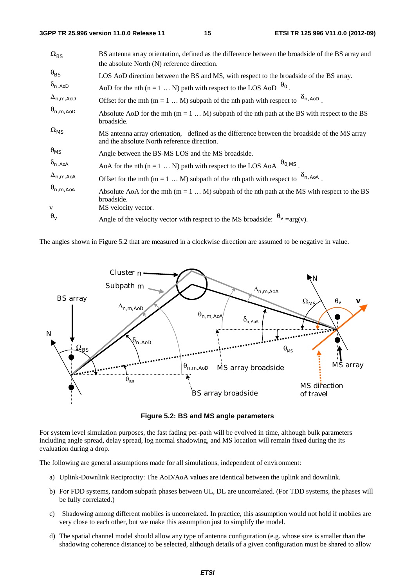#### **3GPP TR 25.996 version 11.0.0 Release 11 15 ETSI TR 125 996 V11.0.0 (2012-09)**

| $\Omega_{BS}$      | BS antenna array orientation, defined as the difference between the broadside of the BS array and<br>the absolute North (N) reference direction. |
|--------------------|--------------------------------------------------------------------------------------------------------------------------------------------------|
| $\theta_{BS}$      | LOS AoD direction between the BS and MS, with respect to the broadside of the BS array.                                                          |
| $\delta_{n,AoD}$   | AoD for the nth (n = 1  N) path with respect to the LOS AoD $\theta_0$                                                                           |
| $\Delta_{n,m,AoD}$ | Offset for the mth (m = 1  M) subpath of the nth path with respect to $\delta_{n, A \circ p}$ .                                                  |
| $\theta_{n,m,AoD}$ | Absolute AoD for the mth $(m = 1  M)$ subpath of the nth path at the BS with respect to the BS<br>broadside.                                     |
| $\Omega_{MS}$      | MS antenna array orientation, defined as the difference between the broadside of the MS array<br>and the absolute North reference direction.     |
| $\theta_{MS}$      | Angle between the BS-MS LOS and the MS broadside.                                                                                                |
| $\delta_{n,AoA}$   | $\Theta_{0,MS}$<br>AoA for the nth $(n = 1  N)$ path with respect to the LOS AoA                                                                 |
| $\Delta_{n,m,AoA}$ | Offset for the mth (m = 1  M) subpath of the nth path with respect to $\delta_{n, A_0}$ .                                                        |
| $\theta_{n,m,AoA}$ | Absolute AoA for the mth ( $m = 1M$ ) subpath of the nth path at the MS with respect to the BS<br>broadside.                                     |
| $\mathbf{V}$       | MS velocity vector.                                                                                                                              |
| $\theta_v$         | Angle of the velocity vector with respect to the MS broadside: $\theta_v = arg(v)$ .                                                             |

The angles shown in Figure 5.2 that are measured in a clockwise direction are assumed to be negative in value.



**Figure 5.2: BS and MS angle parameters** 

For system level simulation purposes, the fast fading per-path will be evolved in time, although bulk parameters including angle spread, delay spread, log normal shadowing, and MS location will remain fixed during the its evaluation during a drop.

The following are general assumptions made for all simulations, independent of environment:

- a) Uplink-Downlink Reciprocity: The AoD/AoA values are identical between the uplink and downlink.
- b) For FDD systems, random subpath phases between UL, DL are uncorrelated. (For TDD systems, the phases will be fully correlated.)
- c) Shadowing among different mobiles is uncorrelated. In practice, this assumption would not hold if mobiles are very close to each other, but we make this assumption just to simplify the model.
- d) The spatial channel model should allow any type of antenna configuration (e.g. whose size is smaller than the shadowing coherence distance) to be selected, although details of a given configuration must be shared to allow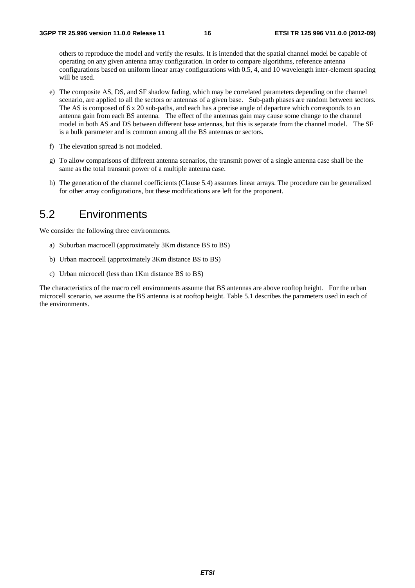others to reproduce the model and verify the results. It is intended that the spatial channel model be capable of operating on any given antenna array configuration. In order to compare algorithms, reference antenna configurations based on uniform linear array configurations with 0.5, 4, and 10 wavelength inter-element spacing will be used.

- e) The composite AS, DS, and SF shadow fading, which may be correlated parameters depending on the channel scenario, are applied to all the sectors or antennas of a given base. Sub-path phases are random between sectors. The AS is composed of 6 x 20 sub-paths, and each has a precise angle of departure which corresponds to an antenna gain from each BS antenna. The effect of the antennas gain may cause some change to the channel model in both AS and DS between different base antennas, but this is separate from the channel model. The SF is a bulk parameter and is common among all the BS antennas or sectors.
- f) The elevation spread is not modeled.
- g) To allow comparisons of different antenna scenarios, the transmit power of a single antenna case shall be the same as the total transmit power of a multiple antenna case.
- h) The generation of the channel coefficients (Clause 5.4) assumes linear arrays. The procedure can be generalized for other array configurations, but these modifications are left for the proponent.

## 5.2 Environments

We consider the following three environments.

- a) Suburban macrocell (approximately 3Km distance BS to BS)
- b) Urban macrocell (approximately 3Km distance BS to BS)
- c) Urban microcell (less than 1Km distance BS to BS)

The characteristics of the macro cell environments assume that BS antennas are above rooftop height. For the urban microcell scenario, we assume the BS antenna is at rooftop height. Table 5.1 describes the parameters used in each of the environments.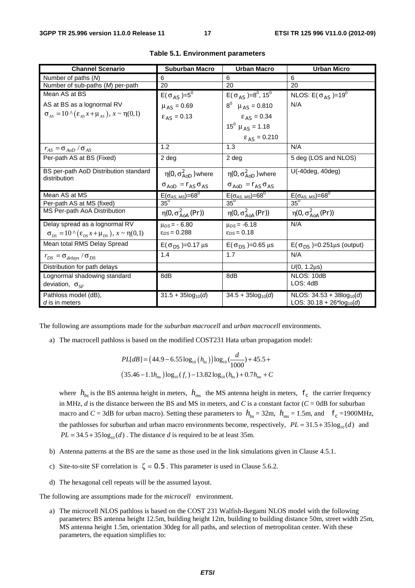| <b>Channel Scenario</b>                                                     | <b>Suburban Macro</b>                 | <b>Urban Macro</b>                                   | <b>Urban Micro</b>                                   |
|-----------------------------------------------------------------------------|---------------------------------------|------------------------------------------------------|------------------------------------------------------|
| Number of paths (M)                                                         | 6                                     | 6                                                    | 6                                                    |
| Number of sub-paths (M) per-path                                            | 20                                    | 20                                                   | 20                                                   |
| Mean AS at BS                                                               | $E(\sigma_{AS})=5^{\circ}$            | $E(\sigma_{AS})=8^0, 15^0$                           | NLOS: $E(\sigma_{AS})=19^0$                          |
| AS at BS as a lognormal RV                                                  | $\mu_{AS} = 0.69$                     | $8^0$ $\mu$ <sub>AS</sub> = 0.810                    | N/A                                                  |
| $\sigma_{AS} = 10 \wedge (\epsilon_{AS} x + \mu_{AS})$ , $x \sim \eta(0,1)$ | $\epsilon_{AS}$ = 0.13                | $\epsilon_{AS}$ = 0.34                               |                                                      |
|                                                                             |                                       | $15^0 \mu_{AS} = 1.18$                               |                                                      |
|                                                                             |                                       | $\epsilon_{AS} = 0.210$                              |                                                      |
| $r_{AS} = \sigma_{AoD} / \sigma_{AS}$                                       | 1.2                                   | 1.3                                                  | N/A                                                  |
| Per-path AS at BS (Fixed)                                                   | 2 <sub>deg</sub>                      | 2 deg                                                | 5 deg (LOS and NLOS)                                 |
| BS per-path AoD Distribution standard<br>distribution                       | $\eta(0, \sigma_{AoD}^2)$ where       | $\eta(0, \sigma_{AoD}^2)$ where                      | U(-40deg, 40deg)                                     |
|                                                                             | $\sigma_{AoD} = r_{AS} \sigma_{AS}$   | $\sigma_{AoD} = r_{AS} \sigma_{AS}$                  |                                                      |
| Mean AS at MS                                                               | $E(\sigma_{AS, MS}) = 68^\circ$       | $\frac{E(\sigma_{AS, MS}) = 68^{\circ}}{35^{\circ}}$ | $\frac{E(\sigma_{AS, MS}) = 68^{\circ}}{35^{\circ}}$ |
| Per-path AS at MS (fixed)                                                   | $35^\circ$                            |                                                      |                                                      |
| MS Per-path AoA Distribution                                                | $\eta(0, \sigma_{A_0A}^2(\text{Pr}))$ | $\eta(0, \sigma_{AoA}^2(\text{Pr}))$                 | $\eta(0, \sigma_{AoA}^2(\text{Pr}))$                 |
| Delay spread as a lognormal RV                                              | $\mu_{DS} = -6.80$                    | $\mu_{DS} = -6.18$                                   | N/A                                                  |
| $\sigma_{DS} = 10 \wedge (\varepsilon_{DS} x + \mu_{DS}), x \sim \eta(0,1)$ | $\epsilon_{DS}$ = 0.288               | $\epsilon_{DS}$ = 0.18                               |                                                      |
| Mean total RMS Delay Spread                                                 | $E(\sigma_{DS}) = 0.17 \,\mu s$       | $E(\sigma_{DS}) = 0.65 \,\mu s$                      | $E(\sigma_{DS})=0.251\mu s$ (output)                 |
| $r_{DS} = \sigma_{delay} / \sigma_{DS}$                                     | 1.4                                   | 1.7                                                  | N/A                                                  |
| Distribution for path delays                                                |                                       |                                                      | $U(0, 1.2 \mu s)$                                    |
| Lognormal shadowing standard                                                | 8dB                                   | 8dB                                                  | NLOS: 10dB                                           |
| deviation, $\sigma_{SF}$                                                    |                                       |                                                      | LOS: 4dB                                             |
| Pathloss model (dB),                                                        | $31.5 + 35\log_{10}(d)$               | $34.5 + 35log_{10}(d)$                               | NLOS: $34.53 + 38\log_{10}(d)$                       |
| d is in meters                                                              |                                       |                                                      | LOS: $30.18 + 26*log_{10}(d)$                        |

| Table 5.1. Environment parameters |  |
|-----------------------------------|--|
|-----------------------------------|--|

The following are assumptions made for the *suburban macrocell* and *urban macrocell* environments.

a) The macrocell pathloss is based on the modified COST231 Hata urban propagation model:

$$
PL[dB] = (44.9 - 6.55 \log_{10} (h_{bs})) \log_{10} (\frac{d}{1000}) + 45.5 +
$$
  
(35.46 - 1.1h<sub>ms</sub>)  $\log_{10} (f_c) - 13.82 \log_{10} (h_{bs}) + 0.7h_{ms} + C$ 

where  $h_{hs}$  is the BS antenna height in meters,  $h_{ms}$  the MS antenna height in meters,  $f_c$  the carrier frequency in MHz,  $d$  is the distance between the BS and MS in meters, and  $C$  is a constant factor ( $C = 0$ dB for suburban macro and *C* = 3dB for urban macro). Setting these parameters to  $h_{bs} = 32$ m,  $h_{ms} = 1.5$ m, and  $f_c = 1900 \text{MHz}$ , the pathlosses for suburban and urban macro environments become, respectively,  $PL = 31.5 + 35 \log_{10}(d)$  and  $PL = 34.5 + 35 \log_{10}(d)$ . The distance *d* is required to be at least 35m.

- b) Antenna patterns at the BS are the same as those used in the link simulations given in Clause 4.5.1.
- c) Site-to-site SF correlation is  $\zeta = 0.5$ . This parameter is used in Clause 5.6.2.
- d) The hexagonal cell repeats will be the assumed layout.

The following are assumptions made for the *microcell* environment.

a) The microcell NLOS pathloss is based on the COST 231 Walfish-Ikegami NLOS model with the following parameters: BS antenna height 12.5m, building height 12m, building to building distance 50m, street width 25m, MS antenna height 1.5m, orientation 30deg for all paths, and selection of metropolitan center. With these parameters, the equation simplifies to: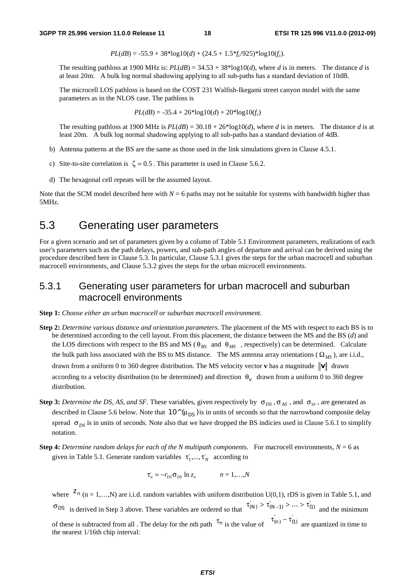$$
PL(dB) = -55.9 + 38 * log 10(d) + (24.5 + 1.5 * f_c/925) * log 10(f_c).
$$

The resulting pathloss at 1900 MHz is:  $PL(dB) = 34.53 + 38*log10(d)$ , where *d* is in meters. The distance *d* is at least 20m. A bulk log normal shadowing applying to all sub-paths has a standard deviation of 10dB.

 The microcell LOS pathloss is based on the COST 231 Walfish-Ikegami street canyon model with the same parameters as in the NLOS case. The pathloss is

$$
PL(dB) = -35.4 + 26*log10(d) + 20*log10(f_c)
$$

The resulting pathloss at 1900 MHz is  $PL(dB) = 30.18 + 26*log10(d)$ , where *d* is in meters. The distance *d* is at least 20m. A bulk log normal shadowing applying to all sub-paths has a standard deviation of 4dB.

- b) Antenna patterns at the BS are the same as those used in the link simulations given in Clause 4.5.1.
- c) Site-to-site correlation is  $\zeta = 0.5$ . This parameter is used in Clause 5.6.2.
- d) The hexagonal cell repeats will be the assumed layout.

Note that the SCM model described here with  $N = 6$  paths may not be suitable for systems with bandwidth higher than 5MHz.

## 5.3 Generating user parameters

For a given scenario and set of parameters given by a column of Table 5.1 Environment parameters, realizations of each user's parameters such as the path delays, powers, and sub-path angles of departure and arrival can be derived using the procedure described here in Clause 5.3. In particular, Clause 5.3.1 gives the steps for the urban macrocell and suburban macrocell environments, and Clause 5.3.2 gives the steps for the urban microcell environments.

#### 5.3.1 Generating user parameters for urban macrocell and suburban macrocell environments

**Step 1:** *Choose either an urban macrocell or suburban macrocell environment.*

- **Step 2:** *Determine various distance and orientation parameters.* The placement of the MS with respect to each BS is to be determined according to the cell layout. From this placement, the distance between the MS and the BS (*d*) and the LOS directions with respect to the BS and MS ( $\theta_{BS}$  and  $\theta_{MS}$ , respectively) can be determined. Calculate the bulk path loss associated with the BS to MS distance. The MS antenna array orientations ( $\Omega_{MS}$ ), are i.i.d., drawn from a uniform 0 to 360 degree distribution. The MS velocity vector **v** has a magnitude  $\|\mathbf{v}\|$  drawn according to a velocity distribution (to be determined) and direction  $\theta_v$  drawn from a uniform 0 to 360 degree distribution.
- **Step 3:** *Determine the DS, AS, and SF.* These variables, given respectively by  $\sigma_{DS}$ ,  $\sigma_{AS}$ , and  $\sigma_{SF}$ , are generated as described in Clause 5.6 below. Note that  $10^{\circ}$  ( $\mu_{DS}$ ) is in units of seconds so that the narrowband composite delay spread  $\sigma_{DS}$  is in units of seconds. Note also that we have dropped the BS indicies used in Clause 5.6.1 to simplify notation.
- **Step 4:** *Determine random delays for each of the N multipath components.* For macrocell environments,  $N = 6$  as given in Table 5.1. Generate random variables  $\tau_1^*, \ldots, \tau_N^*$  according to

$$
\tau_n = -r_{DS}\sigma_{DS} \ln z_n \qquad n = 1,...,N
$$

where  $z_n$  (n = 1,…,N) are i.i.d. random variables with uniform distribution U(0,1), rDS is given in Table 5.1, and  $\sigma_{DS}$  is derived in Step 3 above. These variables are ordered so that  $\tau'(N) > \tau'(N-1) > ... > \tau'(N-1)$  and the minimum of these is subtracted from all . The delay for the nth path  $\tau_n$  is the value of  $\tau_{(n)} - \tau_{(1)}$  are quantized in time to the nearest 1/16th chip interval: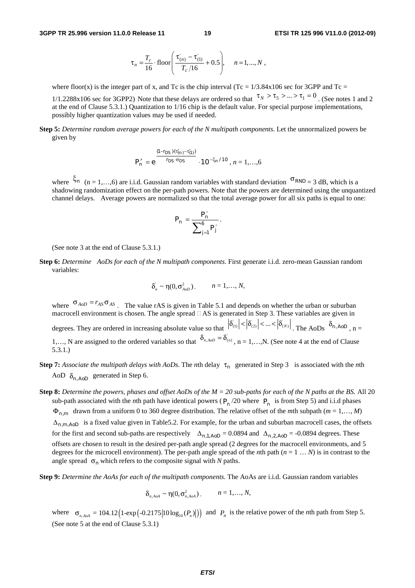$$
\tau_n = \frac{T_c}{16} \cdot \text{floor}\left(\frac{\tau_{(n)} - \tau_{(1)}}{T_c/16} + 0.5\right), \quad n = 1, ..., N \ ,
$$

where floor(x) is the integer part of x, and Tc is the chip interval (Tc =  $1/3.84x106$  sec for 3GPP and Tc =

1/1.2288x106 sec for 3GPP2) Note that these delays are ordered so that  $\tau_N > \tau_5 > ... > \tau_1 = 0$ . (See notes 1 and 2 at the end of Clause 5.3.1.) Quantization to 1/16 chip is the default value. For special purpose implementations, possibly higher quantization values may be used if needed.

**Step 5:** *Determine random average powers for each of the N multipath components*. Let the unnormalized powers be given by

$$
P'_{n} = e^{\frac{(1-r_{DS})(\tau'_{(n)}-\tau'_{(1)})}{r_{DS}\cdot\sigma_{DS}}}\cdot 10^{-\xi_{n}/10}, n = 1,...,6
$$

where <sup> $\xi_n$ </sup> (n = 1,…, 6) are i.i.d. Gaussian random variables with standard deviation <sup>σ</sup>*RND* = 3 dB, which is a shadowing randomization effect on the per-path powers. Note that the powers are determined using the unquantized channel delays. Average powers are normalized so that the total average power for all six paths is equal to one:

$$
P_n = \frac{P'_n}{\sum_{j=1}^6 P'_j}.
$$

(See note 3 at the end of Clause 5.3.1.)

**Step 6:** *Determine AoDs for each of the N multipath components*. First generate i.i.d. zero-mean Gaussian random variables:

$$
\delta_n^{'} \sim \eta(0, \sigma_{A_{oD}}^2), \qquad n = 1, \ldots, N,
$$

where  $\sigma_{AoD} = r_{AS}\sigma_{AS}$ . The value rAS is given in Table 5.1 and depends on whether the urban or suburban macrocell environment is chosen. The angle spread  $\Box$  AS is generated in Step 3. These variables are given in degrees. They are ordered in increasing absolute value so that  $|\delta_{(1)}| < |\delta_{(2)}| < ... < |\delta_{(N)}|$ . The AoDs  $\delta_{n, A \circ n}$ , n = 1,..., N are assigned to the ordered variables so that  $\delta_{n, A \circ D} = \delta_{(n)}$ , n = 1,..., N. (See note 4 at the end of Clause 5.3.1.)

- **Step 7:** Associate the multipath delays with AoDs. The *n*th delay  $\tau_n$  generated in Step 3 is associated with the *n*th AoD  $\delta_{n, AoD}$  generated in Step 6.
- **Step 8:** *Determine the powers, phases and offset AoDs of the M = 20 sub-paths for each of the N paths at the BS.* All 20 sub-path associated with the *n*th path have identical powers ( $P_n$  /20 where  $P_n$  is from Step 5) and i.i.d phases Φ*<sup>n</sup>*,*m* drawn from a uniform 0 to 360 degree distribution. The relative offset of the *m*th subpath (*m* = 1,…, *M*)  $\Delta_{n,m,AoD}$  is a fixed value given in Table5.2. For example, for the urban and suburban macrocell cases, the offsets for the first and second sub-paths are respectively  $\Delta_{n,1,ApD} = 0.0894$  and  $\Delta_{n,2,ApD} = -0.0894$  degrees. These offsets are chosen to result in the desired per-path angle spread (2 degrees for the macrocell environments, and 5 degrees for the microcell environment). The per-path angle spread of the *n*th path  $(n = 1 ... N)$  is in contrast to the angle spread  $\sigma_n$  which refers to the composite signal with *N* paths.

**Step 9:** *Determine the AoAs for each of the multipath components.* The AoAs are i.i.d. Gaussian random variables

$$
\delta_{n, A o A} \sim \eta(0, \sigma_{n, A o A}^2), \qquad n = 1, \ldots, N,
$$

where  $\sigma_{n, A_0} = 104.12 \left( 1-\exp\left(-0.2175|10\log_{10}(P_n)|\right) \right)$  and  $P_n$  is the relative power of the *n*th path from Step 5. (See note 5 at the end of Clause 5.3.1)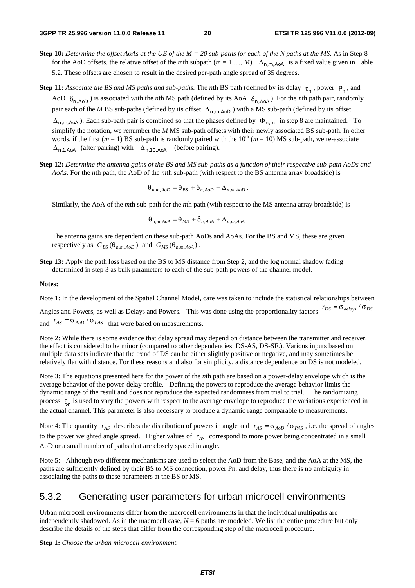- **Step 10:** *Determine the offset AoAs at the UE of the M = 20 sub-paths for each of the N paths at the MS.* As in Step 8 for the AoD offsets, the relative offset of the *m*th subpath  $(m = 1, ..., M)$   $\Delta_{n,m \text{ A}oA}$  is a fixed value given in Table 5.2. These offsets are chosen to result in the desired per-path angle spread of 35 degrees.
- **Step 11:** *Associate the BS and MS paths and sub-paths.* The *n*th BS path (defined by its delay  $\tau_n$ , power  $P_n$ , and AoD  $\delta_{n, AoD}$ ) is associated with the *n*th MS path (defined by its AoA  $\delta_{n, AoA}$ ). For the *n*th path pair, randomly pair each of the *M* BS sub-paths (defined by its offset  $\Delta_{n,m,AoD}$ ) with a MS sub-path (defined by its offset

Δ*<sup>n</sup>*,*m*,*AoA* ). Each sub-path pair is combined so that the phases defined by Φ*<sup>n</sup>*,*m* in step 8 are maintained. To simplify the notation, we renumber the *M* MS sub-path offsets with their newly associated BS sub-path. In other words, if the first ( $m = 1$ ) BS sub-path is randomly paired with the  $10<sup>th</sup>$  ( $m = 10$ ) MS sub-path, we re-associate Δ*<sup>n</sup>*,1,*AoA* (after pairing) with Δ*<sup>n</sup>*,10,*AoA* (before pairing).

**Step 12:** *Determine the antenna gains of the BS and MS sub-paths as a function of their respective sub-path AoDs and AoAs.* For the *n*th path, the AoD of the *m*th sub-path (with respect to the BS antenna array broadside) is

$$
\Theta_{n,m,AoD} = \Theta_{BS} + \delta_{n,AoD} + \Delta_{n,m,AoD}.
$$

Similarly, the AoA of the *m*th sub-path for the *n*th path (with respect to the MS antenna array broadside) is

$$
\Theta_{n,m,AoA} = \Theta_{MS} + \delta_{n,AoA} + \Delta_{n,m,AoA}.
$$

The antenna gains are dependent on these sub-path AoDs and AoAs. For the BS and MS, these are given respectively as  $G_{BS}$  ( $\theta_{n,m,AoD}$ ) and  $G_{MS}$  ( $\theta_{n,m,AoA}$ ).

**Step 13:** Apply the path loss based on the BS to MS distance from Step 2, and the log normal shadow fading determined in step 3 as bulk parameters to each of the sub-path powers of the channel model.

#### **Notes:**

Note 1: In the development of the Spatial Channel Model, care was taken to include the statistical relationships between Angles and Powers, as well as Delays and Powers. This was done using the proportionality factors  $r_{DS} = \sigma_{delays} / \sigma_{DS}$ and  $r_{AS} = \sigma_{AoD} / \sigma_{PAS}$  that were based on measurements.

Note 2: While there is some evidence that delay spread may depend on distance between the transmitter and receiver, the effect is considered to be minor (compared to other dependencies: DS-AS, DS-SF.). Various inputs based on multiple data sets indicate that the trend of DS can be either slightly positive or negative, and may sometimes be relatively flat with distance. For these reasons and also for simplicity, a distance dependence on DS is not modeled.

Note 3: The equations presented here for the power of the *n*th path are based on a power-delay envelope which is the average behavior of the power-delay profile. Defining the powers to reproduce the average behavior limits the dynamic range of the result and does not reproduce the expected randomness from trial to trial. The randomizing process ξ is used to vary the powers with respect to the average envelope to reproduce the variations experienced in the actual channel. This parameter is also necessary to produce a dynamic range comparable to measurements.

Note 4: The quantity  $r_{AS}$  describes the distribution of powers in angle and  $r_{AS} = \sigma_{AoD} / \sigma_{PAS}$ , i.e. the spread of angles to the power weighted angle spread. Higher values of  $r_{AS}$  correspond to more power being concentrated in a small AoD or a small number of paths that are closely spaced in angle.

Note 5: Although two different mechanisms are used to select the AoD from the Base, and the AoA at the MS, the paths are sufficiently defined by their BS to MS connection, power Pn, and delay, thus there is no ambiguity in associating the paths to these parameters at the BS or MS.

#### 5.3.2 Generating user parameters for urban microcell environments

Urban microcell environments differ from the macrocell environments in that the individual multipaths are independently shadowed. As in the macrocell case,  $N = 6$  paths are modeled. We list the entire procedure but only describe the details of the steps that differ from the corresponding step of the macrocell procedure.

**Step 1:** *Choose the urban microcell environment.*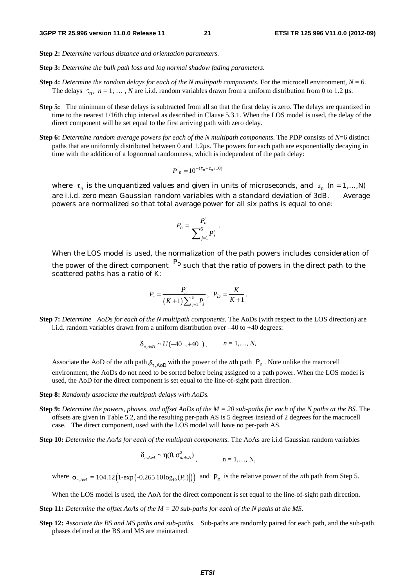- **Step 2:** *Determine various distance and orientation parameters.*
- **Step 3:** *Determine the bulk path loss and log normal shadow fading parameters.*
- **Step 4:** *Determine the random delays for each of the N multipath components*. For the microcell environment,  $N = 6$ . The delays  $\tau_n$ ,  $n = 1, ..., N$  are i.i.d. random variables drawn from a uniform distribution from 0 to 1.2 μs.
- **Step 5:** The minimum of these delays is subtracted from all so that the first delay is zero. The delays are quantized in time to the nearest 1/16th chip interval as described in Clause 5.3.1. When the LOS model is used, the delay of the direct component will be set equal to the first arriving path with zero delay.
- **Step 6:** *Determine random average powers for each of the N multipath components*. The PDP consists of *N*=6 distinct paths that are uniformly distributed between 0 and 1.2μs. The powers for each path are exponentially decaying in time with the addition of a lognormal randomness, which is independent of the path delay:

$$
P^{'}_n = 10^{-(\tau_n + z_n/10)}
$$

where  $\tau_n$  is the unquantized values and given in units of microseconds, and  $z_n$  (*n* = 1,…,*N*) are i.i.d. zero mean Gaussian random variables with a standard deviation of 3dB. Average powers are normalized so that total average power for all six paths is equal to one:

$$
P_n = \frac{P'_n}{\sum_{j=1}^6 P'_j}.
$$

When the LOS model is used, the normalization of the path powers includes consideration of

the power of the direct component *PD* such that the ratio of powers in the direct path to the scattered paths has a ratio of K:

$$
P_n = \frac{P'_n}{(K+1)\sum_{j=1}^6 P'_j}, \ \ P_D = \frac{K}{K+1}.
$$

**Step 7:** *Determine AoDs for each of the N multipath components*. The AoDs (with respect to the LOS direction) are i.i.d. random variables drawn from a uniform distribution over –40 to +40 degrees:

$$
\delta_{n, A \circ D} \sim U(-40, +40), \qquad n = 1, ..., N,
$$

Associate the AoD of the *n*th path  $\delta_{n, A_0}$  with the power of the *n*th path  $P_n$ . Note unlike the macrocell environment, the AoDs do not need to be sorted before being assigned to a path power. When the LOS model is used, the AoD for the direct component is set equal to the line-of-sight path direction.

**Step 8:** *Randomly associate the multipath delays with AoDs.* 

- **Step 9:** *Determine the powers, phases, and offset AoDs of the M = 20 sub-paths for each of the N paths at the BS.* The offsets are given in Table 5.2, and the resulting per-path AS is 5 degrees instead of 2 degrees for the macrocell case. The direct component, used with the LOS model will have no per-path AS.
- **Step 10:** *Determine the AoAs for each of the multipath components.* The AoAs are i.i.d Gaussian random variables

$$
\delta_{n,\text{AoA}} \sim \eta(0,\sigma_{n,\text{AoA}}^2), \qquad n = 1,\ldots,N,
$$

where  $\sigma_{n,40A} = 104.12 (1-\exp(-0.265 \vert 10 \log_{10}(P_n) \vert))$  and  $P_n$  is the relative power of the *n*th path from Step 5.

When the LOS model is used, the AoA for the direct component is set equal to the line-of-sight path direction.

- **Step 11:** *Determine the offset AoAs of the M = 20 sub-paths for each of the N paths at the MS.*
- **Step 12:** *Associate the BS and MS paths and sub-paths.* Sub-paths are randomly paired for each path, and the sub-path phases defined at the BS and MS are maintained.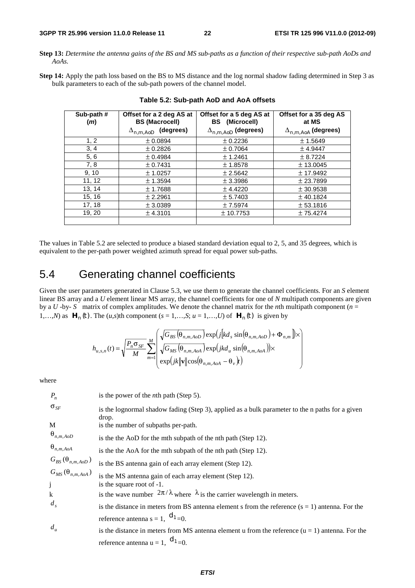**Step 13:** *Determine the antenna gains of the BS and MS sub-paths as a function of their respective sub-path AoDs and AoAs.*

**Step 14:** Apply the path loss based on the BS to MS distance and the log normal shadow fading determined in Step 3 as bulk parameters to each of the sub-path powers of the channel model.

| Sub-path #<br>(m) | Offset for a 2 deg AS at<br><b>BS (Macrocell)</b> | Offset for a 5 deg AS at<br><b>BS</b> (Microcell) | Offset for a 35 deg AS<br>at MS |
|-------------------|---------------------------------------------------|---------------------------------------------------|---------------------------------|
|                   | $\Delta_{n,m,AoD}$ (degrees)                      | $\Delta_{n,m,AoD}$ (degrees)                      | $\Delta_{n,m,AoA}$ (degrees)    |
| 1, 2              | ± 0.0894                                          | ± 0.2236                                          | ± 1.5649                        |
| 3, 4              | ± 0.2826                                          | ± 0.7064                                          | ± 4.9447                        |
| 5, 6              | ± 0.4984                                          | ± 1.2461                                          | ± 8.7224                        |
| 7, 8              | ± 0.7431                                          | ± 1.8578                                          | ± 13.0045                       |
| 9, 10             | ± 1.0257                                          | ± 2.5642                                          | ± 17.9492                       |
| 11, 12            | ± 1.3594                                          | ± 3.3986                                          | ± 23.7899                       |
| 13, 14            | ± 1.7688                                          | ± 4.4220                                          | ± 30.9538                       |
| 15, 16            | ± 2.2961                                          | ± 5.7403                                          | $±$ 40.1824                     |
| 17, 18            | ± 3.0389                                          | ± 7.5974                                          | ± 53.1816                       |
| 19, 20            | ± 4.3101                                          | ± 10.7753                                         | ± 75.4274                       |
|                   |                                                   |                                                   |                                 |

#### **Table 5.2: Sub-path AoD and AoA offsets**

The values in Table 5.2 are selected to produce a biased standard deviation equal to 2, 5, and 35 degrees, which is equivalent to the per-path power weighted azimuth spread for equal power sub-paths.

## 5.4 Generating channel coefficients

Given the user parameters generated in Clause 5.3, we use them to generate the channel coefficients. For an *S* element linear BS array and a *U* element linear MS array, the channel coefficients for one of *N* multipath components are given by a *U* -by- *S* matrix of complex amplitudes. We denote the channel matrix for the *n*th multipath component (*n* = 1,…,*N*) as  $\mathbf{H}_n(t)$ . The (*u*,*s*)th component ( $s = 1,...,S$ ;  $u = 1,...,U$ ) of  $\mathbf{H}_n(t)$  is given by

$$
h_{u,s,n}(t) = \sqrt{\frac{P_n \sigma_{SF}}{M}} \sum_{m=1}^{M} \left( \frac{\sqrt{G_{BS}(\theta_{n,m,AoD})} \exp(j\left[kd_s \sin(\theta_{n,m,AoD}) + \Phi_{n,m}\right]) \times}{\sqrt{G_{MS}(\theta_{n,m,AoA})} \exp(jkd_u \sin(\theta_{n,m,AoA})) \times} \right)
$$

where

| $P_n$                                      | is the power of the <i>n</i> th path (Step 5).                                                           |
|--------------------------------------------|----------------------------------------------------------------------------------------------------------|
| $\sigma_{SF}$                              | is the lognormal shadow fading (Step 3), applied as a bulk parameter to the n paths for a given<br>drop. |
| M                                          | is the number of subpaths per-path.                                                                      |
| $\Theta_{n,m,AoD}$                         | is the the AoD for the mth subpath of the nth path (Step 12).                                            |
| $\Theta_{n,m,AoA}$                         | is the the AoA for the mth subpath of the nth path (Step 12).                                            |
| $G_{BS}(\theta_{n,m,AoD})$                 | is the BS antenna gain of each array element (Step 12).                                                  |
| $G_{MS}(\theta_{n,m,AoA})$<br>$\mathbf{j}$ | is the MS antenna gain of each array element (Step 12).<br>is the square root of -1.                     |
| $\bf k$                                    | is the wave number $2\pi/\lambda$ where $\lambda$ is the carrier wavelength in meters.                   |
| $d_s$                                      | is the distance in meters from BS antenna element s from the reference $(s = 1)$ antenna. For the        |
|                                            | reference antenna s = 1, $d_{1=0}$ .                                                                     |
| $d_u$                                      | is the distance in meters from MS antenna element u from the reference $(u = 1)$ antenna. For the        |
|                                            | reference antenna $u = 1$ , $d_{1} = 0$ .                                                                |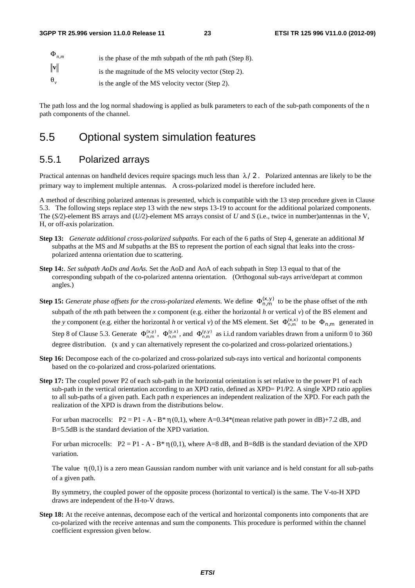| $\Phi_{n,m}$     | is the phase of the mth subpath of the nth path (Step 8). |
|------------------|-----------------------------------------------------------|
| $\ \mathbf{v}\ $ | is the magnitude of the MS velocity vector (Step 2).      |
| $\Theta_{\cdot}$ | is the angle of the MS velocity vector (Step 2).          |

The path loss and the log normal shadowing is applied as bulk parameters to each of the sub-path components of the n path components of the channel.

#### 5.5 Optional system simulation features

#### 5.5.1 Polarized arrays

Practical antennas on handheld devices require spacings much less than  $\lambda/2$ . Polarized antennas are likely to be the primary way to implement multiple antennas. A cross-polarized model is therefore included here.

A method of describing polarized antennas is presented, which is compatible with the 13 step procedure given in Clause 5.3. The following steps replace step 13 with the new steps 13-19 to account for the additional polarized components. The (*S/*2)-element BS arrays and (*U/*2)-element MS arrays consist of *U* and *S* (i.e., twice in number)antennas in the V, H, or off-axis polarization.

- **Step 13:** *Generate additional cross-polarized subpaths.* For each of the 6 paths of Step 4, generate an additional *M* subpaths at the MS and *M* subpaths at the BS to represent the portion of each signal that leaks into the crosspolarized antenna orientation due to scattering.
- **Step 14:**. *Set subpath AoDs and AoAs.* Set the AoD and AoA of each subpath in Step 13 equal to that of the corresponding subpath of the co-polarized antenna orientation. (Orthogonal sub-rays arrive/depart at common angles.)
- **Step 15:** *Generate phase offsets for the cross-polarized elements.* We define  $\Phi_{n,m}^{(x,y)}$  to be the phase offset of the *mth* subpath of the *n*th path between the *x* component (e.g. either the horizontal *h* or vertical *v*) of the BS element and the *y* component (e.g. either the horizontal *h* or vertical *v*) of the MS element. Set  $\Phi_{n,m}^{(x,x)}$  to be  $\Phi_{n,m}$  generated in Step 8 of Clause 5.3. Generate  $\Phi_{n,m}^{(x,y)}$ ,  $\Phi_{n,m}^{(y,x)}$ , and  $\Phi_{n,m}^{(y,y)}$  as i.i.d random variables drawn from a uniform 0 to 360 degree distribution. (x and y can alternatively represent the co-polarized and cross-polarized orientations.)
- **Step 16:** Decompose each of the co-polarized and cross-polarized sub-rays into vertical and horizontal components based on the co-polarized and cross-polarized orientations.
- **Step 17:** The coupled power P2 of each sub-path in the horizontal orientation is set relative to the power P1 of each sub-path in the vertical orientation according to an XPD ratio, defined as XPD= P1/P2. A single XPD ratio applies to all sub-paths of a given path. Each path *n* experiences an independent realization of the XPD. For each path the realization of the XPD is drawn from the distributions below.

For urban macrocells:  $P2 = P1 - A - B^* \eta(0,1)$ , where A=0.34\*(mean relative path power in dB)+7.2 dB, and B=5.5dB is the standard deviation of the XPD variation.

For urban microcells:  $P2 = P1 - A - B^* \eta(0,1)$ , where  $A=8$  dB, and  $B=8$ dB is the standard deviation of the XPD variation.

The value  $\eta(0,1)$  is a zero mean Gaussian random number with unit variance and is held constant for all sub-paths of a given path.

By symmetry, the coupled power of the opposite process (horizontal to vertical) is the same. The V-to-H XPD draws are independent of the H-to-V draws.

**Step 18:** At the receive antennas, decompose each of the vertical and horizontal components into components that are co-polarized with the receive antennas and sum the components. This procedure is performed within the channel coefficient expression given below.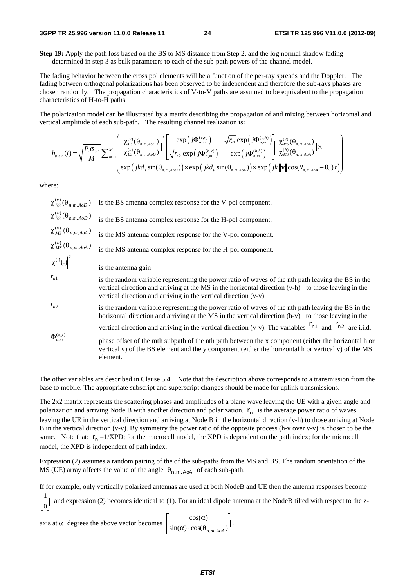#### **3GPP TR 25.996 version 11.0.0 Release 11 24 ETSI TR 125 996 V11.0.0 (2012-09)**

**Step 19:** Apply the path loss based on the BS to MS distance from Step 2, and the log normal shadow fading determined in step 3 as bulk parameters to each of the sub-path powers of the channel model.

The fading behavior between the cross pol elements will be a function of the per-ray spreads and the Doppler. The fading between orthogonal polarizations has been observed to be independent and therefore the sub-rays phases are chosen randomly. The propagation characteristics of V-to-V paths are assumed to be equivalent to the propagation characteristics of H-to-H paths.

The polarization model can be illustrated by a matrix describing the propagation of and mixing between horizontal and vertical amplitude of each sub-path. The resulting channel realization is:

$$
h_{u,s,n}(t) = \sqrt{\frac{P_n \sigma_{sF}}{M}} \sum\nolimits_{m=1}^M \left[ \begin{bmatrix} \chi_{BS}^{(v)}(\theta_{n,m,AoD}) \\ \chi_{BS}^{(h)}(\theta_{n,m,AoD}) \end{bmatrix}^T \begin{bmatrix} \exp(j\Phi_{n,m}^{(v,v)}) & \sqrt{r_n} \exp(j\Phi_{n,m}^{(v,h)}) \\ \sqrt{r_n} \exp(j\Phi_{n,m}^{(h,v)}) & \exp(j\Phi_{n,m}^{(h,h)}) \end{bmatrix} \begin{bmatrix} \chi_{MS}^{(v)}(\theta_{n,m,AoA}) \\ \chi_{MS}^{(h)}(\theta_{n,m,AoA}) \end{bmatrix} \times \exp(jkd_s \sin(\theta_{n,m,AoA})) \times \exp(jkd_u \sin(\theta_{n,m,AoA})) \times \exp(jk\|\mathbf{v}\|\cos(\theta_{n,m,AoA} - \theta_v)t) \end{bmatrix} \right)
$$

where:

 $_{BS}^{(v)}(\theta_{n,m,AoD})$ *is the BS* antenna complex response for the V-pol component.  $\frac{(h)}{BS}(\theta_{n,m,AoD})$ *is the BS* antenna complex response for the H-pol component.  $\frac{N}{MS}(\theta_{n,m,AoA})$ *is the MS antenna complex response for the V-pol component.*  $\frac{(h)}{MS}(\theta_{n,m,AoA})$ is the MS antenna complex response for the H-pol component.  $|\chi^{(.)}(.)|^2$  is the antenna gain  $r_{n1}$  is the random variable representing the power ratio of waves of the nth path leaving the BS in the vertical direction and arriving at the MS in the horizontal direction (v-h) to those leaving in the vertical direction and arriving in the vertical direction (v-v).  $r_{n2}$  is the random variable representing the power ratio of waves of the nth path leaving the BS in the horizontal direction and arriving at the MS in the vertical direction (h-v) to those leaving in the vertical direction and arriving in the vertical direction (v-v). The variables  $r_{n1}$  and  $r_{n2}$  are i.i.d.  $(x, y)$ <br> $n,m$ *phase offset of the mth subpath of the nth path between the x component (either the horizontal h or* vertical v) of the BS element and the y component (either the horizontal h or vertical v) of the MS element.

The other variables are described in Clause 5.4. Note that the description above corresponds to a transmission from the base to mobile. The appropriate subscript and superscript changes should be made for uplink transmissions.

The 2x2 matrix represents the scattering phases and amplitudes of a plane wave leaving the UE with a given angle and polarization and arriving Node B with another direction and polarization. *nr* is the average power ratio of waves leaving the UE in the vertical direction and arriving at Node B in the horizontal direction (v-h) to those arriving at Node B in the vertical direction (v-v). By symmetry the power ratio of the opposite process (h-v over v-v) is chosen to be the same. Note that:  $r_n = 1/XPD$ ; for the macrocell model, the XPD is dependent on the path index; for the microcell model, the XPD is independent of path index.

Expression (2) assumes a random pairing of the of the sub-paths from the MS and BS. The random orientation of the MS (UE) array affects the value of the angle  $\theta_{n,m,\text{AoA}}$  of each sub-path.

If for example, only vertically polarized antennas are used at both NodeB and UE then the antenna responses become

1 and expression (2) becomes identical to (1). For an ideal dipole antenna at the NodeB tilted with respect to the z- $\mathsf{L}$ ⎤ 0 ⎢ ⎥ ـــا<br>ا ب<br>ا  $\overline{1}$ 

axis at 
$$
\alpha
$$
 degrees the above vector becomes  $\begin{bmatrix} \cos(\alpha) \\ \sin(\alpha) \cdot \cos(\theta_{n,m,4oA}) \end{bmatrix}$ .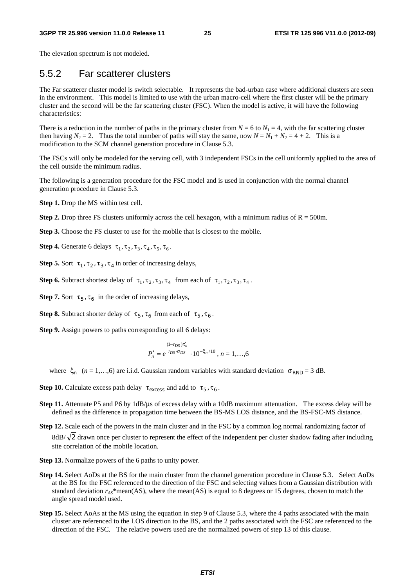#### **3GPP TR 25.996 version 11.0.0 Release 11 25 ETSI TR 125 996 V11.0.0 (2012-09)**

The elevation spectrum is not modeled.

#### 5.5.2 Far scatterer clusters

The Far scatterer cluster model is switch selectable. It represents the bad-urban case where additional clusters are seen in the environment. This model is limited to use with the urban macro-cell where the first cluster will be the primary cluster and the second will be the far scattering cluster (FSC). When the model is active, it will have the following characteristics:

There is a reduction in the number of paths in the primary cluster from  $N = 6$  to  $N_1 = 4$ , with the far scattering cluster then having  $N_2 = 2$ . Thus the total number of paths will stay the same, now  $N = N_1 + N_2 = 4 + 2$ . This is a modification to the SCM channel generation procedure in Clause 5.3.

The FSCs will only be modeled for the serving cell, with 3 independent FSCs in the cell uniformly applied to the area of the cell outside the minimum radius.

The following is a generation procedure for the FSC model and is used in conjunction with the normal channel generation procedure in Clause 5.3.

**Step 1.** Drop the MS within test cell.

**Step 2.** Drop three FS clusters uniformly across the cell hexagon, with a minimum radius of  $R = 500$ m.

**Step 3.** Choose the FS cluster to use for the mobile that is closest to the mobile.

**Step 4.** Generate 6 delays  $\tau_1, \tau_2, \tau_3, \tau_4, \tau_5, \tau_6$ .

**Step 5.** Sort  $\tau_1$ ,  $\tau_2$ ,  $\tau_3$ ,  $\tau_4$  in order of increasing delays,

**Step 6.** Subtract shortest delay of  $\tau_1, \tau_2, \tau_3, \tau_4$  from each of  $\tau_1, \tau_2, \tau_3, \tau_4$ .

**Step 7.** Sort  $\tau_5$ ,  $\tau_6$  in the order of increasing delays,

**Step 8.** Subtract shorter delay of  $\tau_5$ ,  $\tau_6$  from each of  $\tau_5$ ,  $\tau_6$ .

**Step 9.** Assign powers to paths corresponding to all 6 delays:

$$
P'_{n} = e^{\frac{(1-r_{DS})\tau'_{n}}{r_{DS}\cdot\sigma_{DS}}} \cdot 10^{-\xi_{n}/10}, n = 1,...,6
$$

where  $\xi_n$  (*n* = 1,…,6) are i.i.d. Gaussian random variables with standard deviation  $\sigma_{RND} = 3$  dB.

**Step 10.** Calculate excess path delay  $\tau_{excess}$  and add to  $\tau_5$ ,  $\tau_6$ .

- **Step 11.** Attenuate P5 and P6 by 1dB/μs of excess delay with a 10dB maximum attenuation. The excess delay will be defined as the difference in propagation time between the BS-MS LOS distance, and the BS-FSC-MS distance.
- **Step 12.** Scale each of the powers in the main cluster and in the FSC by a common log normal randomizing factor of 8dB/ $\sqrt{2}$  drawn once per cluster to represent the effect of the independent per cluster shadow fading after including site correlation of the mobile location.
- **Step 13.** Normalize powers of the 6 paths to unity power.
- **Step 14.** Select AoDs at the BS for the main cluster from the channel generation procedure in Clause 5.3. Select AoDs at the BS for the FSC referenced to the direction of the FSC and selecting values from a Gaussian distribution with standard deviation *rAS*\*mean(AS), where the mean(AS) is equal to 8 degrees or 15 degrees, chosen to match the angle spread model used.
- **Step 15.** Select AoAs at the MS using the equation in step 9 of Clause 5.3, where the 4 paths associated with the main cluster are referenced to the LOS direction to the BS, and the 2 paths associated with the FSC are referenced to the direction of the FSC. The relative powers used are the normalized powers of step 13 of this clause.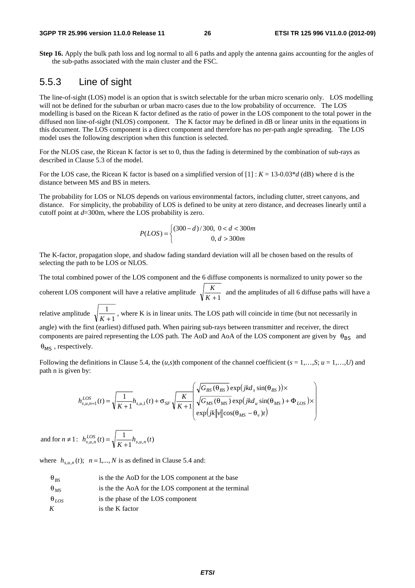#### **3GPP TR 25.996 version 11.0.0 Release 11 26 ETSI TR 125 996 V11.0.0 (2012-09)**

**Step 16.** Apply the bulk path loss and log normal to all 6 paths and apply the antenna gains accounting for the angles of the sub-paths associated with the main cluster and the FSC.

#### 5.5.3 Line of sight

The line-of-sight (LOS) model is an option that is switch selectable for the urban micro scenario only. LOS modelling will not be defined for the suburban or urban macro cases due to the low probability of occurrence. The LOS modelling is based on the Ricean K factor defined as the ratio of power in the LOS component to the total power in the diffused non line-of-sight (NLOS) component. The K factor may be defined in dB or linear units in the equations in this document. The LOS component is a direct component and therefore has no per-path angle spreading. The LOS model uses the following description when this function is selected.

For the NLOS case, the Ricean K factor is set to 0, thus the fading is determined by the combination of sub-rays as described in Clause 5.3 of the model.

For the LOS case, the Ricean K factor is based on a simplified version of [1] : *K* = 13-0.03\**d* (dB) where d is the distance between MS and BS in meters.

The probability for LOS or NLOS depends on various environmental factors, including clutter, street canyons, and distance. For simplicity, the probability of LOS is defined to be unity at zero distance, and decreases linearly until a cutoff point at *d*=300m, where the LOS probability is zero.

$$
P(LOS) = \begin{cases} (300 - d)/300, & 0 < d < 300m \\ 0, & d > 300m \end{cases}
$$

The K-factor, propagation slope, and shadow fading standard deviation will all be chosen based on the results of selecting the path to be LOS or NLOS.

The total combined power of the LOS component and the 6 diffuse components is normalized to unity power so the coherent LOS component will have a relative amplitude  $\sqrt{\frac{K}{K+1}}$  and the amplitudes of all 6 diffuse paths will have a relative amplitude  $\sqrt{\frac{1}{K+1}}$  $\frac{X}{K+1}$ , where K is in linear units. The LOS path will coincide in time (but not necessarily in

angle) with the first (earliest) diffused path. When pairing sub-rays between transmitter and receiver, the direct components are paired representing the LOS path. The AoD and AoA of the LOS component are given by  $\theta_{BS}$  and θ*MS* , respectively.

Following the definitions in Clause 5.4, the  $(u, s)$ th component of the channel coefficient  $(s = 1, \ldots, S; u = 1, \ldots, U)$  and path n is given by:

$$
h_{s,u,n=1}^{LOS}(t) = \sqrt{\frac{1}{K+1}} h_{s,u,1}(t) + \sigma_{SF} \sqrt{\frac{K}{K+1}} \sqrt{\frac{\sqrt{G_{BS}(\theta_{BS})}}{\sqrt{G_{MS}(\theta_{MS})}} \exp(jkd_u \sin(\theta_{MS}) + \Phi_{LOS}) \times \exp(jkd_u \sin(\theta_{MS}) + \Phi_{LOS}) \times \exp(jkd_v \sin(\theta_{MS}) + \Phi_{LOS})}
$$

and for  $n \neq 1$ :  $h_{s,u,n}^{LOS}(t) = \sqrt{\frac{1}{K+1}} h_{s,u,n}(t)$ 

where  $h_{s,u,n}(t)$ ;  $n=1,...,N$  is as defined in Clause 5.4 and:

- $\theta_{BS}$  is the the AoD for the LOS component at the base
- θ*MS* is the the AoA for the LOS component at the terminal
- $\theta_{LOS}$  is the phase of the LOS component
- *K* is the K factor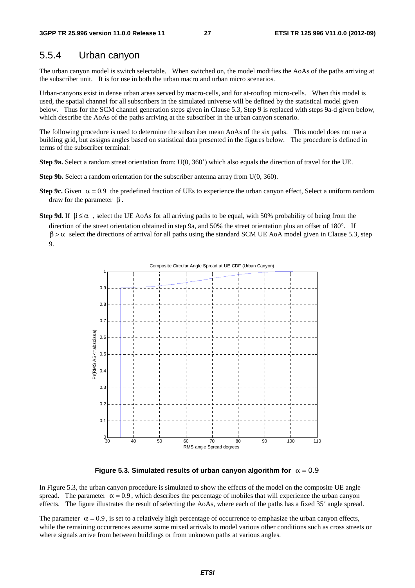#### 5.5.4 Urban canyon

The urban canyon model is switch selectable. When switched on, the model modifies the AoAs of the paths arriving at the subscriber unit. It is for use in both the urban macro and urban micro scenarios.

Urban-canyons exist in dense urban areas served by macro-cells, and for at-rooftop micro-cells. When this model is used, the spatial channel for all subscribers in the simulated universe will be defined by the statistical model given below. Thus for the SCM channel generation steps given in Clause 5.3, Step 9 is replaced with steps 9a-d given below, which describe the AoAs of the paths arriving at the subscriber in the urban canyon scenario.

The following procedure is used to determine the subscriber mean AoAs of the six paths. This model does not use a building grid, but assigns angles based on statistical data presented in the figures below. The procedure is defined in terms of the subscriber terminal:

**Step 9a.** Select a random street orientation from: U(0, 360°) which also equals the direction of travel for the UE.

- **Step 9b.** Select a random orientation for the subscriber antenna array from U(0, 360).
- **Step 9c.** Given  $\alpha = 0.9$  the predefined fraction of UEs to experience the urban canyon effect, Select a uniform random draw for the parameter  $β$ .
- **Step 9d.** If  $\beta \le \alpha$ , select the UE AoAs for all arriving paths to be equal, with 50% probability of being from the direction of the street orientation obtained in step 9a, and 50% the street orientation plus an offset of 180°. If  $\beta > \alpha$  select the directions of arrival for all paths using the standard SCM UE AoA model given in Clause 5.3, step 9.



**Figure 5.3. Simulated results of urban canyon algorithm for**  $\alpha = 0.9$ 

In Figure 5.3, the urban canyon procedure is simulated to show the effects of the model on the composite UE angle spread. The parameter  $\alpha = 0.9$ , which describes the percentage of mobiles that will experience the urban canyon effects. The figure illustrates the result of selecting the AoAs, where each of the paths has a fixed 35˚ angle spread.

The parameter  $\alpha = 0.9$ , is set to a relatively high percentage of occurrence to emphasize the urban canyon effects, while the remaining occurrences assume some mixed arrivals to model various other conditions such as cross streets or where signals arrive from between buildings or from unknown paths at various angles.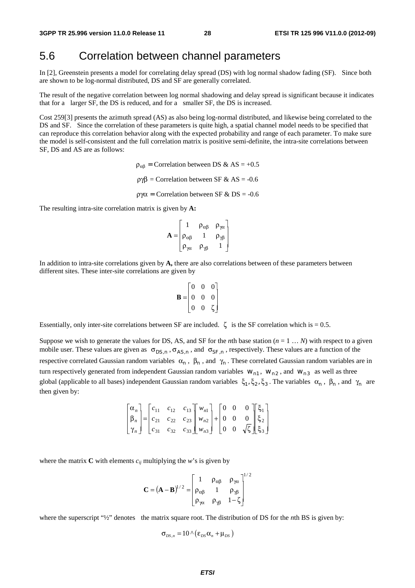#### 5.6 Correlation between channel parameters

In [2], Greenstein presents a model for correlating delay spread (DS) with log normal shadow fading (SF). Since both are shown to be log-normal distributed, DS and SF are generally correlated.

The result of the negative correlation between log normal shadowing and delay spread is significant because it indicates that for a larger SF, the DS is reduced, and for a smaller SF, the DS is increased.

Cost 259[3] presents the azimuth spread (AS) as also being log-normal distributed, and likewise being correlated to the DS and SF. Since the correlation of these parameters is quite high, a spatial channel model needs to be specified that can reproduce this correlation behavior along with the expected probability and range of each parameter. To make sure the model is self-consistent and the full correlation matrix is positive semi-definite, the intra-site correlations between SF, DS and AS are as follows:

> $\rho_{\alpha\beta}$  = Correlation between DS & AS = +0.5 ργβ = Correlation between SF & AS = -0.6 ργα = Correlation between SF & DS = -0.6

The resulting intra-site correlation matrix is given by **A:** 

$$
\mathbf{A} = \begin{bmatrix} 1 & \rho_{\alpha\beta} & \rho_{\gamma\alpha} \\ \rho_{\alpha\beta} & 1 & \rho_{\gamma\beta} \\ \rho_{\gamma\alpha} & \rho_{\gamma\beta} & 1 \end{bmatrix}
$$

In addition to intra-site correlations given by **A,** there are also correlations between of these parameters between different sites. These inter-site correlations are given by

$$
\mathbf{B} = \begin{bmatrix} 0 & 0 & 0 \\ 0 & 0 & 0 \\ 0 & 0 & \zeta \end{bmatrix}
$$

Essentially, only inter-site correlations between SF are included.  $\zeta$  is the SF correlation which is = 0.5.

Suppose we wish to generate the values for DS, AS, and SF for the *n*th base station  $(n = 1 ... N)$  with respect to a given mobile user. These values are given as  $\sigma_{DS,n}$ ,  $\sigma_{AS,n}$ , and  $\sigma_{SF,n}$ , respectively. These values are a function of the respective correlated Gaussian random variables  $\alpha_n$ ,  $\beta_n$ , and  $\gamma_n$ . These correlated Gaussian random variables are in turn respectively generated from independent Gaussian random variables  $w_{n1}$ ,  $w_{n2}$ , and  $w_{n3}$  as well as three global (applicable to all bases) independent Gaussian random variables  $\xi_1, \xi_2, \xi_3$ . The variables  $\alpha_n$ ,  $\beta_n$ , and  $\gamma_n$  are then given by:

$$
\begin{bmatrix} \alpha_n \\ \beta_n \\ \gamma_n \end{bmatrix} = \begin{bmatrix} c_{11} & c_{12} & c_{13} \\ c_{21} & c_{22} & c_{23} \\ c_{31} & c_{32} & c_{33} \end{bmatrix} \begin{bmatrix} w_{n1} \\ w_{n2} \\ w_{n3} \end{bmatrix} + \begin{bmatrix} 0 & 0 & 0 \\ 0 & 0 & 0 \\ 0 & 0 & \sqrt{\zeta} \end{bmatrix} \begin{bmatrix} \xi_1 \\ \xi_2 \\ \xi_3 \end{bmatrix}
$$

where the matrix **C** with elements  $c_{ij}$  multiplying the *w*'s is given by

$$
\mathbf{C} = (\mathbf{A} - \mathbf{B})^{1/2} = \begin{bmatrix} 1 & \rho_{\alpha\beta} & \rho_{\gamma\alpha} \\ \rho_{\alpha\beta} & 1 & \rho_{\gamma\beta} \\ \rho_{\gamma\alpha} & \rho_{\gamma\beta} & 1 - \zeta \end{bmatrix}^{1/2}
$$

where the superscript "<sup>1</sup>/<sub>2</sub>" denotes the matrix square root. The distribution of DS for the *n*th BS is given by:

$$
\sigma_{DS,n} = 10 \wedge (\varepsilon_{DS} \alpha_n + \mu_{DS})
$$

*ETSI*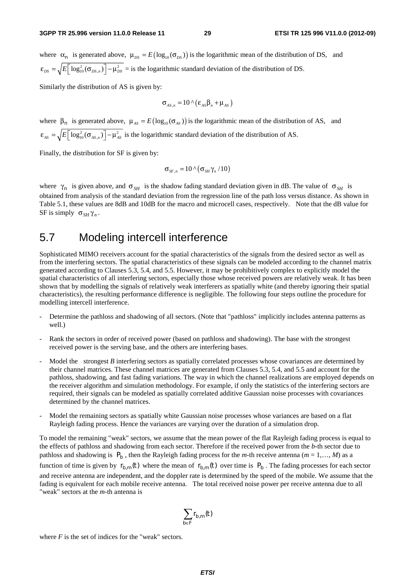where  $\alpha_n$  is generated above,  $\mu_{DS} = E(\log_{10}(\sigma_{DS}))$  is the logarithmic mean of the distribution of DS, and  $\epsilon_{DS} = \sqrt{E[\log_{10}^2(\sigma_{DS,n})]} - \mu_{DS}^2$  = is the logarithmic standard deviation of the distribution of DS.

Similarly the distribution of AS is given by:

$$
\sigma_{_{AS,n}} = 10 \wedge (\varepsilon_{_{AS}} \beta_{_n} + \mu_{_{AS}})
$$

where  $\beta_n$  is generated above,  $\mu_{AS} = E(\log_{10}(\sigma_{AS}))$  is the logarithmic mean of the distribution of AS, and  $\epsilon_{\rm As} = \sqrt{E} \left[ \log_{10}^2 (\sigma_{\rm As, n}) \right] - \mu_{\rm As}^2$  is the logarithmic standard deviation of the distribution of AS.

Finally, the distribution for SF is given by:

$$
\sigma_{_{SF,n}} = 10 \wedge (\sigma_{_{SH}} \gamma_n / 10)
$$

where  $\gamma_n$  is given above, and  $\sigma_{SH}$  is the shadow fading standard deviation given in dB. The value of  $\sigma_{SH}$  is obtained from analysis of the standard deviation from the regression line of the path loss versus distance. As shown in Table 5.1, these values are 8dB and 10dB for the macro and microcell cases, respectively. Note that the dB value for SF is simply  $\sigma_{SH} \gamma_n$ .

#### 5.7 Modeling intercell interference

Sophisticated MIMO receivers account for the spatial characteristics of the signals from the desired sector as well as from the interfering sectors. The spatial characteristics of these signals can be modeled according to the channel matrix generated according to Clauses 5.3, 5.4, and 5.5. However, it may be prohibitively complex to explicitly model the spatial characteristics of all interfering sectors, especially those whose received powers are relatively weak. It has been shown that by modelling the signals of relatively weak interferers as spatially white (and thereby ignoring their spatial characteristics), the resulting performance difference is negligible. The following four steps outline the procedure for modelling intercell interference.

- Determine the pathloss and shadowing of all sectors. (Note that "pathloss" implicitly includes antenna patterns as well.)
- Rank the sectors in order of received power (based on pathloss and shadowing). The base with the strongest received power is the serving base, and the others are interfering bases.
- Model the strongest *B* interfering sectors as spatially correlated processes whose covariances are determined by their channel matrices. These channel matrices are generated from Clauses 5.3, 5.4, and 5.5 and account for the pathloss, shadowing, and fast fading variations. The way in which the channel realizations are employed depends on the receiver algorithm and simulation methodology. For example, if only the statistics of the interfering sectors are required, their signals can be modeled as spatially correlated additive Gaussian noise processes with covariances determined by the channel matrices.
- Model the remaining sectors as spatially white Gaussian noise processes whose variances are based on a flat Rayleigh fading process. Hence the variances are varying over the duration of a simulation drop.

To model the remaining "weak" sectors, we assume that the mean power of the flat Rayleigh fading process is equal to the effects of pathloss and shadowing from each sector. Therefore if the received power from the *b-*th sector due to pathloss and shadowing is  $P_b$ , then the Rayleigh fading process for the *m*-th receive antenna ( $m = 1, ..., M$ ) as a function of time is given by  $r_{b,m}(t)$  where the mean of  $r_{b,m}(t)$  over time is  $P_b$ . The fading processes for each sector and receive antenna are independent, and the doppler rate is determined by the speed of the mobile. We assume that the fading is equivalent for each mobile receive antenna. The total received noise power per receive antenna due to all "weak" sectors at the *m-*th antenna is

$$
\sum_{b\in F}r_{b,m}(t)
$$

where  $F$  is the set of indices for the "weak" sectors.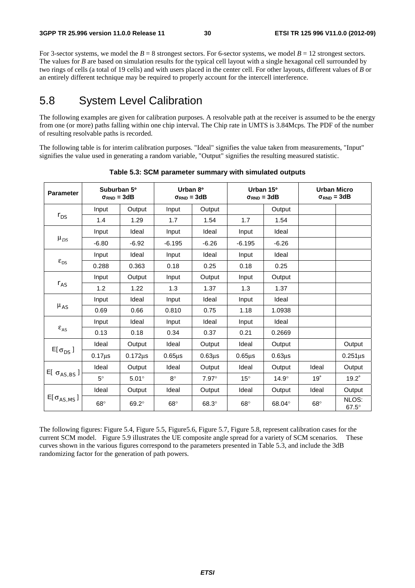For 3-sector systems, we model the  $B = 8$  strongest sectors. For 6-sector systems, we model  $B = 12$  strongest sectors. The values for *B* are based on simulation results for the typical cell layout with a single hexagonal cell surrounded by two rings of cells (a total of 19 cells) and with users placed in the center cell. For other layouts, different values of *B* or an entirely different technique may be required to properly account for the intercell interference.

## 5.8 System Level Calibration

The following examples are given for calibration purposes. A resolvable path at the receiver is assumed to be the energy from one (or more) paths falling within one chip interval. The Chip rate in UMTS is 3.84Mcps. The PDF of the number of resulting resolvable paths is recorded.

The following table is for interim calibration purposes. "Ideal" signifies the value taken from measurements, "Input" signifies the value used in generating a random variable, "Output" signifies the resulting measured statistic.

| <b>Parameter</b>         | Suburban 5°<br>$\sigma_{RND} = 3dB$ |              | Urban 8°<br>$\sigma_{RND} = 3dB$ |              | Urban 15°<br>$\sigma_{RND} = 3dB$ |              | <b>Urban Micro</b><br>$\sigma_{RND} = 3dB$ |                       |
|--------------------------|-------------------------------------|--------------|----------------------------------|--------------|-----------------------------------|--------------|--------------------------------------------|-----------------------|
| $r_{DS}$                 | Input                               | Output       | Input                            | Output       |                                   | Output       |                                            |                       |
|                          | 1.4                                 | 1.29         | 1.7                              | 1.54         | 1.7                               | 1.54         |                                            |                       |
| $\mu_{DS}$               | Input                               | Ideal        | Input                            | Ideal        | Input                             | Ideal        |                                            |                       |
|                          | $-6.80$                             | $-6.92$      | $-6.195$                         | $-6.26$      | $-6.195$                          | $-6.26$      |                                            |                       |
| $\epsilon_{\textit{DS}}$ | Input                               | Ideal        | Input                            | Ideal        | Input                             | Ideal        |                                            |                       |
|                          | 0.288                               | 0.363        | 0.18                             | 0.25         | 0.18                              | 0.25         |                                            |                       |
| $r_{AS}$                 | Input                               | Output       | Input                            | Output       | Input                             | Output       |                                            |                       |
|                          | 1.2                                 | 1.22         | 1.3                              | 1.37         | 1.3                               | 1.37         |                                            |                       |
| $\mu_{AS}$               | Input                               | Ideal        | Input                            | Ideal        | Input                             | Ideal        |                                            |                       |
|                          | 0.69                                | 0.66         | 0.810                            | 0.75         | 1.18                              | 1.0938       |                                            |                       |
| $\epsilon_{\rm AS}$      | Input                               | Ideal        | Input                            | Ideal        | Input                             | Ideal        |                                            |                       |
|                          | 0.13                                | 0.18         | 0.34                             | 0.37         | 0.21                              | 0.2669       |                                            |                       |
| $E[\sigma_{DS}]$         | Ideal                               | Output       | Ideal                            | Output       | Ideal                             | Output       |                                            | Output                |
|                          | $0.17 \mu s$                        | $0.172\mu s$ | $0.65\mu s$                      | $0.63µ$ s    | $0.65\mu$ s                       | $0.63µ$ s    |                                            | $0.251\mu s$          |
| E[ $\sigma_{AS,BS}$ ]    | Ideal                               | Output       | Ideal                            | Output       | Ideal                             | Output       | Ideal                                      | Output                |
|                          | $5^\circ$                           | $5.01^\circ$ | $8^\circ$                        | $7.97^\circ$ | $15^{\circ}$                      | $14.9^\circ$ | 19°                                        | $19.2^\circ$          |
| $E[\sigma_{AS,MS}]$      | Ideal                               | Output       | Ideal                            | Output       | Ideal                             | Output       | Ideal                                      | Output                |
|                          | $68^\circ$                          | $69.2^\circ$ | $68^\circ$                       | $68.3^\circ$ | $68^\circ$                        | 68.04°       | $68^\circ$                                 | NLOS:<br>$67.5^\circ$ |

**Table 5.3: SCM parameter summary with simulated outputs** 

The following figures: Figure 5.4, Figure 5.5, Figure5.6, Figure 5.7, Figure 5.8, represent calibration cases for the current SCM model. Figure 5.9 illustrates the UE composite angle spread for a variety of SCM scenarios. These curves shown in the various figures correspond to the parameters presented in Table 5.3, and include the 3dB randomizing factor for the generation of path powers.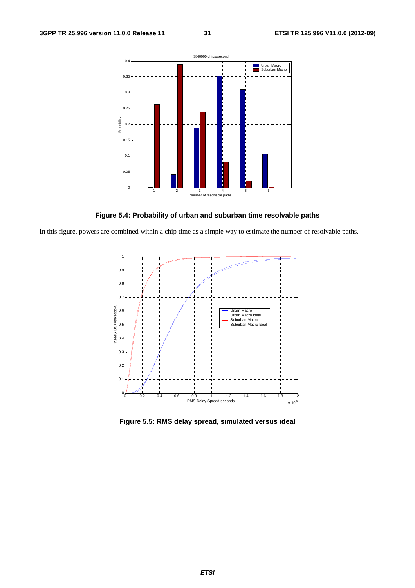

**Figure 5.4: Probability of urban and suburban time resolvable paths** 

In this figure, powers are combined within a chip time as a simple way to estimate the number of resolvable paths.



**Figure 5.5: RMS delay spread, simulated versus ideal**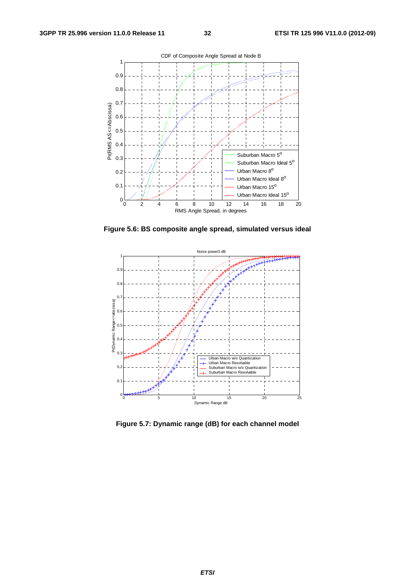

**Figure 5.6: BS composite angle spread, simulated versus ideal** 



**Figure 5.7: Dynamic range (dB) for each channel model**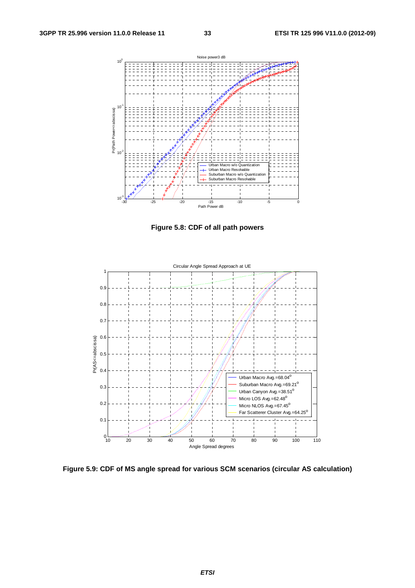

**Figure 5.8: CDF of all path powers** 



**Figure 5.9: CDF of MS angle spread for various SCM scenarios (circular AS calculation)**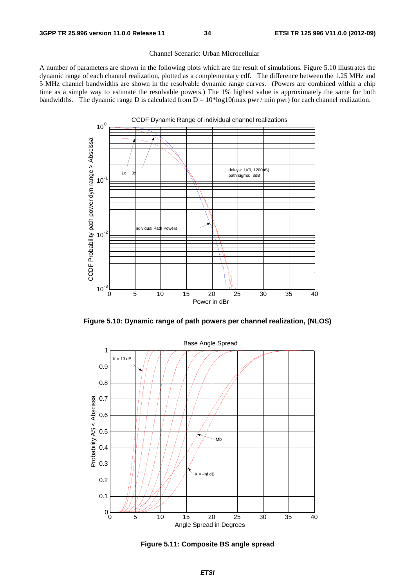#### Channel Scenario: Urban Microcellular

A number of parameters are shown in the following plots which are the result of simulations. Figure 5.10 illustrates the dynamic range of each channel realization, plotted as a complementary cdf. The difference between the 1.25 MHz and 5 MHz channel bandwidths are shown in the resolvable dynamic range curves. (Powers are combined within a chip time as a simple way to estimate the resolvable powers.) The 1% highest value is approximately the same for both bandwidths. The dynamic range D is calculated from  $D = 10*log10(max$  pwr / min pwr) for each channel realization.



**Figure 5.10: Dynamic range of path powers per channel realization, (NLOS)** 



**Figure 5.11: Composite BS angle spread**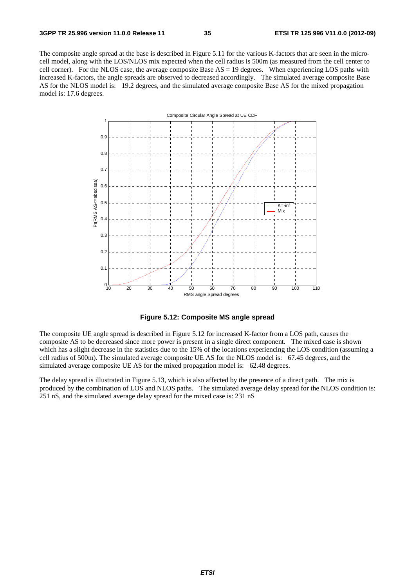The composite angle spread at the base is described in Figure 5.11 for the various K-factors that are seen in the microcell model, along with the LOS/NLOS mix expected when the cell radius is 500m (as measured from the cell center to cell corner). For the NLOS case, the average composite Base AS = 19 degrees. When experiencing LOS paths with increased K-factors, the angle spreads are observed to decreased accordingly. The simulated average composite Base AS for the NLOS model is: 19.2 degrees, and the simulated average composite Base AS for the mixed propagation model is: 17.6 degrees.



**Figure 5.12: Composite MS angle spread** 

The composite UE angle spread is described in Figure 5.12 for increased K-factor from a LOS path, causes the composite AS to be decreased since more power is present in a single direct component. The mixed case is shown which has a slight decrease in the statistics due to the 15% of the locations experiencing the LOS condition (assuming a cell radius of 500m). The simulated average composite UE AS for the NLOS model is: 67.45 degrees, and the simulated average composite UE AS for the mixed propagation model is: 62.48 degrees.

The delay spread is illustrated in Figure 5.13, which is also affected by the presence of a direct path. The mix is produced by the combination of LOS and NLOS paths. The simulated average delay spread for the NLOS condition is: 251 nS, and the simulated average delay spread for the mixed case is: 231 nS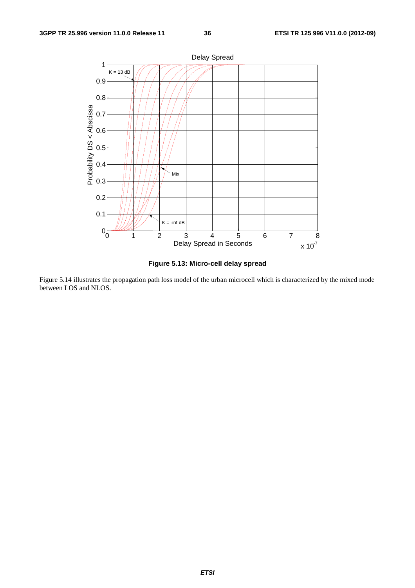

**Figure 5.13: Micro-cell delay spread** 

Figure 5.14 illustrates the propagation path loss model of the urban microcell which is characterized by the mixed mode between LOS and NLOS.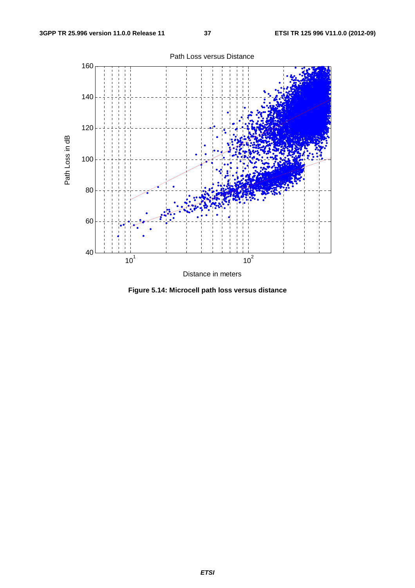

Distance in meters

**Figure 5.14: Microcell path loss versus distance**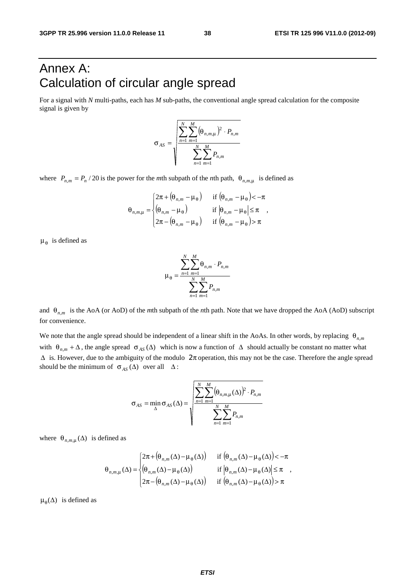# Annex A: Calculation of circular angle spread

For a signal with *N* multi-paths, each has *M* sub-paths, the conventional angle spread calculation for the composite signal is given by

$$
\sigma_{AS} = \sqrt{\frac{\sum_{n=1}^{N} \sum_{m=1}^{M} (\theta_{n,m,\mu})^2 \cdot P_{n,m}}{\sum_{n=1}^{N} \sum_{m=1}^{M} P_{n,m}}}
$$

where  $P_{n,m} = P_n / 20$  is the power for the *m*th subpath of the *n*th path,  $\theta_{n,m,\mu}$  is defined as

$$
\theta_{n,m,\mu} = \begin{cases}\n2\pi + (\theta_{n,m} - \mu_{\theta}) & \text{if } (\theta_{n,m} - \mu_{\theta}) < -\pi \\
(\theta_{n,m} - \mu_{\theta}) & \text{if } |\theta_{n,m} - \mu_{\theta}| \leq \pi \\
2\pi - (\theta_{n,m} - \mu_{\theta}) & \text{if } (\theta_{n,m} - \mu_{\theta}) > \pi\n\end{cases}
$$

 $\mu_{\theta}$  is defined as

$$
\mu_{\theta} = \frac{\sum_{n=1}^{N} \sum_{m=1}^{M} \theta_{n,m} \cdot P_{n,m}}{\sum_{n=1}^{N} \sum_{m=1}^{M} P_{n,m}}
$$

and  $\theta_{n,m}$  is the AoA (or AoD) of the *m*th subpath of the *n*th path. Note that we have dropped the AoA (AoD) subscript for convenience.

We note that the angle spread should be independent of a linear shift in the AoAs. In other words, by replacing θ*<sup>n</sup>*,*<sup>m</sup>* with  $\theta_{n,m} + \Delta$ , the angle spread  $\sigma_{AS}(\Delta)$  which is now a function of  $\Delta$  should actually be constant no matter what  $\Delta$  is. However, due to the ambiguity of the modulo  $2\pi$  operation, this may not be the case. Therefore the angle spread should be the minimum of  $\sigma_{AS}(\Delta)$  over all  $\Delta$ :

$$
\sigma_{AS} = \min_{\Delta} \sigma_{AS}(\Delta) = \sqrt{\frac{\sum_{n=1}^{N} \sum_{m=1}^{M} (\theta_{n,m,\mu}(\Delta))^{2} \cdot P_{n,m}}{\sum_{n=1}^{N} \sum_{m=1}^{M} P_{n,m}}}
$$

where  $\theta_{n,m,\mu}(\Delta)$  is defined as

$$
\theta_{n,m,\mu}(\Delta) = \begin{cases}\n2\pi + \left(\theta_{n,m}(\Delta) - \mu_{\theta}(\Delta)\right) & \text{if } \left(\theta_{n,m}(\Delta) - \mu_{\theta}(\Delta)\right) < -\pi \\
\left(\theta_{n,m}(\Delta) - \mu_{\theta}(\Delta)\right) & \text{if } \left|\theta_{n,m}(\Delta) - \mu_{\theta}(\Delta)\right| \le \pi \\
2\pi - \left(\theta_{n,m}(\Delta) - \mu_{\theta}(\Delta)\right) & \text{if } \left(\theta_{n,m}(\Delta) - \mu_{\theta}(\Delta)\right) > \pi\n\end{cases}
$$

 $\mu_{\theta}(\Delta)$  is defined as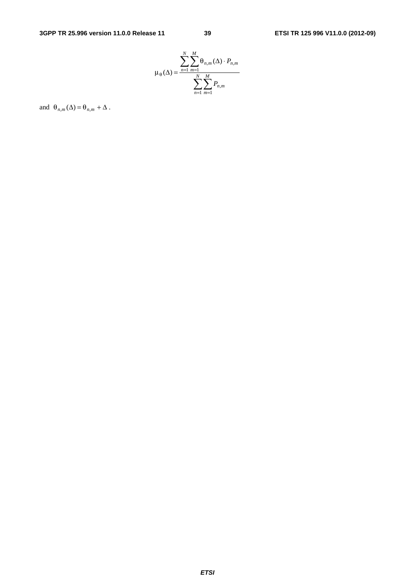

and  $\Theta_{n,m}(\Delta) = \Theta_{n,m} + \Delta$ .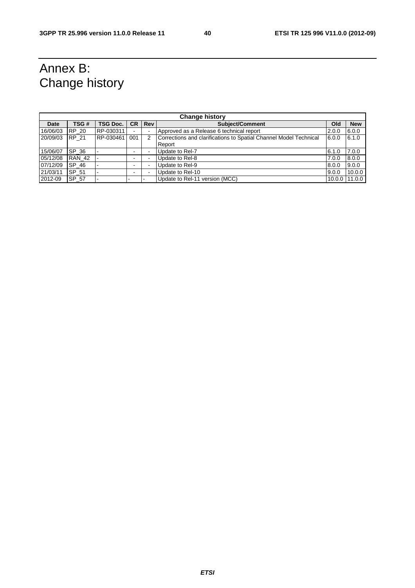# Annex B: Change history

| <b>Change history</b> |               |                 |           |            |                                                                   |        |            |
|-----------------------|---------------|-----------------|-----------|------------|-------------------------------------------------------------------|--------|------------|
| Date                  | TSG#          | <b>TSG Doc.</b> | <b>CR</b> | <b>Rev</b> | Subiect/Comment<br>Old                                            |        | <b>New</b> |
| 16/06/03              | <b>RP 20</b>  | RP-030311       |           |            | Approved as a Release 6 technical report                          | 2.0.0  | 6.0.0      |
| 20/09/03              | <b>RP 21</b>  | RP-030461       | 001       | 2          | Corrections and clarifications to Spatial Channel Model Technical | 6.0.0  | 6.1.0      |
|                       |               |                 |           |            | Report                                                            |        |            |
| 15/06/07              | SP 36         |                 |           |            | Update to Rel-7                                                   | 6.1.0  | 7.0.0      |
| 05/12/08              | <b>RAN 42</b> |                 |           |            | Update to Rel-8                                                   | 7.0.0  | 8.0.0      |
| 07/12/09              | SP 46         |                 |           |            | Update to Rel-9                                                   | 8.0.0  | 9.0.0      |
| 21/03/11              | SP 51         |                 |           |            | Update to Rel-10                                                  | 9.0.0  | 10.0.0     |
| 2012-09               | SP 57         |                 |           |            | Update to Rel-11 version (MCC)                                    | 10.0.0 | 11.0.0     |